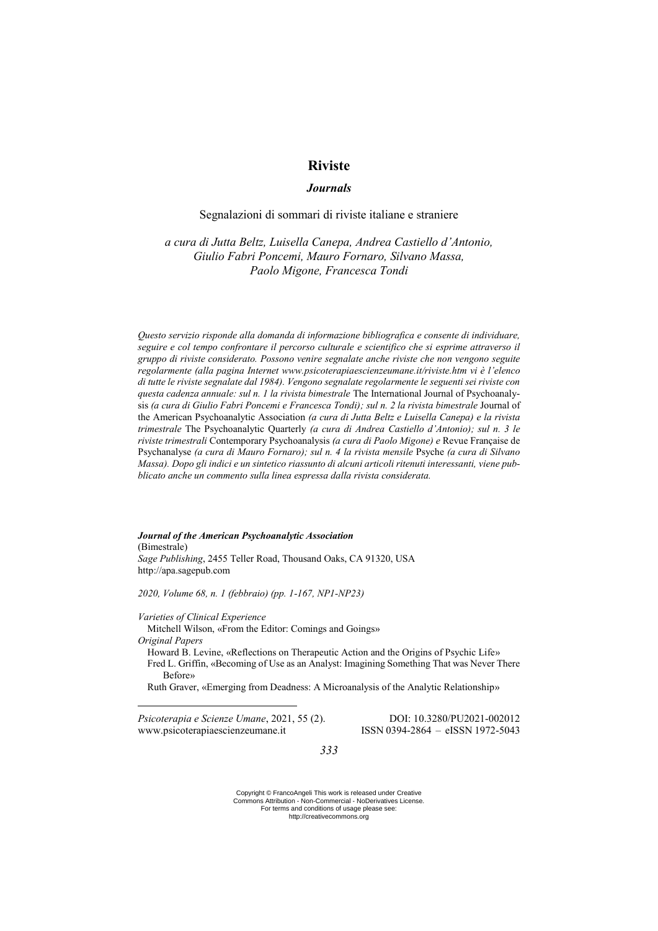# **Riviste**

# *Journals*

# Segnalazioni di sommari di riviste italiane e straniere

*a cura di Jutta Beltz, Luisella Canepa, Andrea Castiello d'Antonio, Giulio Fabri Poncemi, Mauro Fornaro, Silvano Massa, Paolo Migone, Francesca Tondi*

*Questo servizio risponde alla domanda di informazione bibliografica e consente di individuare, seguire e col tempo confrontare il percorso culturale e scientifico che si esprime attraverso il gruppo di riviste considerato. Possono venire segnalate anche riviste che non vengono seguite regolarmente (alla pagina Internet www.psicoterapiaescienzeumane.it/riviste.htm vi è l'elenco di tutte le riviste segnalate dal 1984). Vengono segnalate regolarmente le seguenti sei riviste con questa cadenza annuale: sul n. 1 la rivista bimestrale* The International Journal of Psychoanalysis *(a cura di Giulio Fabri Poncemi e Francesca Tondi); sul n. 2 la rivista bimestrale Journal of* the American Psychoanalytic Association *(a cura di Jutta Beltz e Luisella Canepa) e la rivista trimestrale* The Psychoanalytic Quarterly *(a cura di Andrea Castiello d'Antonio); sul n. 3 le riviste trimestrali* Contemporary Psychoanalysis *(a cura di Paolo Migone) e* Revue Française de Psychanalyse *(a cura di Mauro Fornaro); sul n. 4 la rivista mensile* Psyche *(a cura di Silvano Massa). Dopo gli indici e un sintetico riassunto di alcuni articoli ritenuti interessanti, viene pubblicato anche un commento sulla linea espressa dalla rivista considerata.* 

### *Journal of the American Psychoanalytic Association*

(Bimestrale) *Sage Publishing*, 2455 Teller Road, Thousand Oaks, CA 91320, USA http://apa.sagepub.com

*2020, Volume 68, n. 1 (febbraio) (pp. 1-167, NP1-NP23)*

*Varieties of Clinical Experience*

Mitchell Wilson, «From the Editor: Comings and Goings»

*Original Papers*

<u>.</u>

Howard B. Levine, «Reflections on Therapeutic Action and the Origins of Psychic Life» Fred L. Griffin, «Becoming of Use as an Analyst: Imagining Something That was Never There Before»

Ruth Graver, «Emerging from Deadness: A Microanalysis of the Analytic Relationship»

*Psicoterapia e Scienze Umane*, 2021, 55 (2). DOI: 10.3280/PU2021-002012 www.psicoterapiaescienzeumane.it ISSN 0394-2864 – eISSN 1972-5043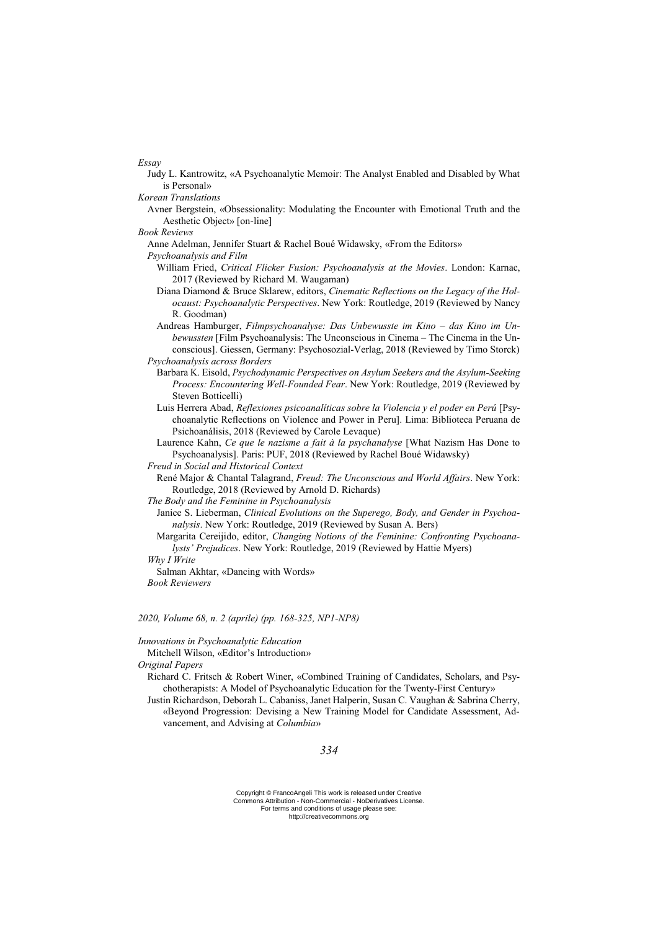*Essay*

- Judy L. Kantrowitz, «A Psychoanalytic Memoir: The Analyst Enabled and Disabled by What is Personal»
- *Korean Translations*
	- Avner Bergstein, «Obsessionality: Modulating the Encounter with Emotional Truth and the Aesthetic Object» [on-line]
- *Book Reviews*
	- Anne Adelman, Jennifer Stuart & Rachel Boué Widawsky, «From the Editors»
	- *Psychoanalysis and Film*
		- William Fried, *Critical Flicker Fusion: Psychoanalysis at the Movies*. London: Karnac, 2017 (Reviewed by Richard M. Waugaman)
		- Diana Diamond & Bruce Sklarew, editors, *Cinematic Reflections on the Legacy of the Holocaust: Psychoanalytic Perspectives*. New York: Routledge, 2019 (Reviewed by Nancy R. Goodman)
	- Andreas Hamburger, *Filmpsychoanalyse: Das Unbewusste im Kino – das Kino im Unbewussten* [Film Psychoanalysis: The Unconscious in Cinema – The Cinema in the Unconscious]. Giessen, Germany: Psychosozial-Verlag, 2018 (Reviewed by Timo Storck) *Psychoanalysis across Borders*
		- Barbara K. Eisold, *Psychodynamic Perspectives on Asylum Seekers and the Asylum-Seeking Process: Encountering Well-Founded Fear*. New York: Routledge, 2019 (Reviewed by Steven Botticelli)
		- Luis Herrera Abad, *Reflexiones psicoanalíticas sobre la Violencia y el poder en Perú* [Psychoanalytic Reflections on Violence and Power in Peru]. Lima: Biblioteca Peruana de Psichoanálisis, 2018 (Reviewed by Carole Levaque)
		- Laurence Kahn, *Ce que le nazisme a fait à la psychanalyse* [What Nazism Has Done to Psychoanalysis]. Paris: PUF, 2018 (Reviewed by Rachel Boué Widawsky)

*Freud in Social and Historical Context*

- René Major & Chantal Talagrand, *Freud: The Unconscious and World Affairs*. New York: Routledge, 2018 (Reviewed by Arnold D. Richards)
- *The Body and the Feminine in Psychoanalysis*
	- Janice S. Lieberman, *Clinical Evolutions on the Superego, Body, and Gender in Psychoanalysis*. New York: Routledge, 2019 (Reviewed by Susan A. Bers)
	- Margarita Cereijido, editor, *Changing Notions of the Feminine: Confronting Psychoanalysts' Prejudices*. New York: Routledge, 2019 (Reviewed by Hattie Myers)

## *Why I Write*

Salman Akhtar, «Dancing with Words» *Book Reviewers*

### *2020, Volume 68, n. 2 (aprile) (pp. 168-325, NP1-NP8)*

*Innovations in Psychoanalytic Education*

Mitchell Wilson, «Editor's Introduction»

*Original Papers*

- Richard C. Fritsch & Robert Winer, «Combined Training of Candidates, Scholars, and Psychotherapists: A Model of Psychoanalytic Education for the Twenty-First Century»
- Justin Richardson, Deborah L. Cabaniss, Janet Halperin, Susan C. Vaughan & Sabrina Cherry, «Beyond Progression: Devising a New Training Model for Candidate Assessment, Advancement, and Advising at *Columbia*»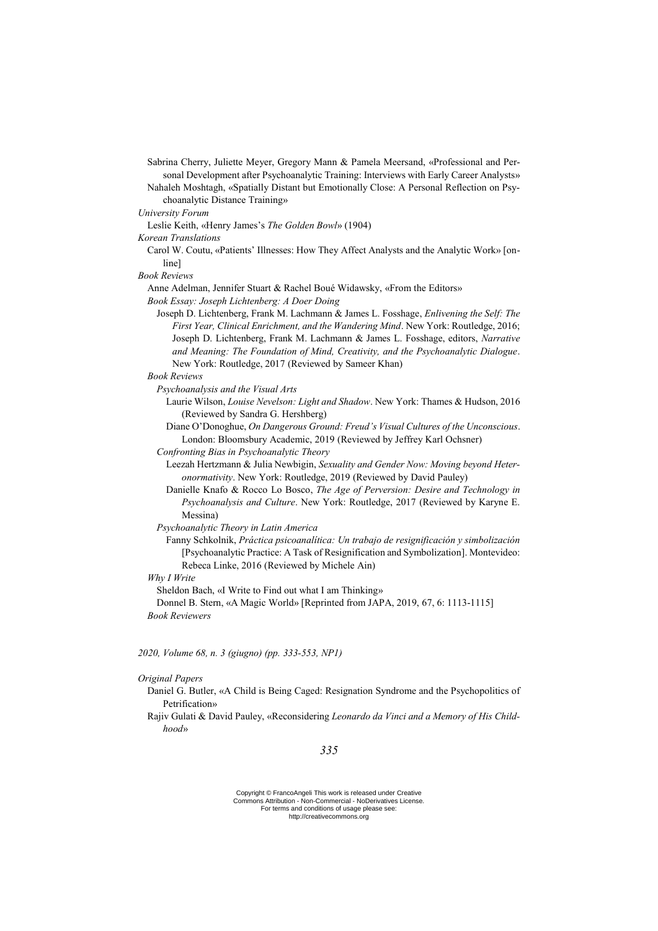Sabrina Cherry, Juliette Meyer, Gregory Mann & Pamela Meersand, «Professional and Personal Development after Psychoanalytic Training: Interviews with Early Career Analysts»

- Nahaleh Moshtagh, «Spatially Distant but Emotionally Close: A Personal Reflection on Psychoanalytic Distance Training»
- *University Forum*

Leslie Keith, «Henry James's *The Golden Bowl*» (1904)

*Korean Translations*

Carol W. Coutu, «Patients' Illnesses: How They Affect Analysts and the Analytic Work» [online]

*Book Reviews*

Anne Adelman, Jennifer Stuart & Rachel Boué Widawsky, «From the Editors»

*Book Essay: Joseph Lichtenberg: A Doer Doing* 

Joseph D. Lichtenberg, Frank M. Lachmann & James L. Fosshage, *Enlivening the Self: The First Year, Clinical Enrichment, and the Wandering Mind*. New York: Routledge, 2016; Joseph D. Lichtenberg, Frank M. Lachmann & James L. Fosshage, editors, *Narrative and Meaning: The Foundation of Mind, Creativity, and the Psychoanalytic Dialogue*. New York: Routledge, 2017 (Reviewed by Sameer Khan)

*Book Reviews*

*Psychoanalysis and the Visual Arts*

- Laurie Wilson, *Louise Nevelson: Light and Shadow*. New York: Thames & Hudson, 2016 (Reviewed by Sandra G. Hershberg)
- Diane O'Donoghue, *On Dangerous Ground: Freud's Visual Cultures of the Unconscious*. London: Bloomsbury Academic, 2019 (Reviewed by Jeffrey Karl Ochsner)
- *Confronting Bias in Psychoanalytic Theory*
	- Leezah Hertzmann & Julia Newbigin, *Sexuality and Gender Now: Moving beyond Heteronormativity*. New York: Routledge, 2019 (Reviewed by David Pauley)
	- Danielle Knafo & Rocco Lo Bosco, *The Age of Perversion: Desire and Technology in Psychoanalysis and Culture*. New York: Routledge, 2017 (Reviewed by Karyne E. Messina)

*Psychoanalytic Theory in Latin America*

Fanny Schkolnik, *Práctica psicoanalítica: Un trabajo de resignificación y simbolización* [Psychoanalytic Practice: A Task of Resignification and Symbolization]. Montevideo: Rebeca Linke, 2016 (Reviewed by Michele Ain)

*Why I Write*

Sheldon Bach, «I Write to Find out what I am Thinking»

Donnel B. Stern, «A Magic World» [Reprinted from JAPA, 2019, 67, 6: 1113-1115] *Book Reviewers*

*2020, Volume 68, n. 3 (giugno) (pp. 333-553, NP1)*

#### *Original Papers*

- Daniel G. Butler, «A Child is Being Caged: Resignation Syndrome and the Psychopolitics of Petrification»
- Rajiv Gulati & David Pauley, «Reconsidering *Leonardo da Vinci and a Memory of His Childhood*»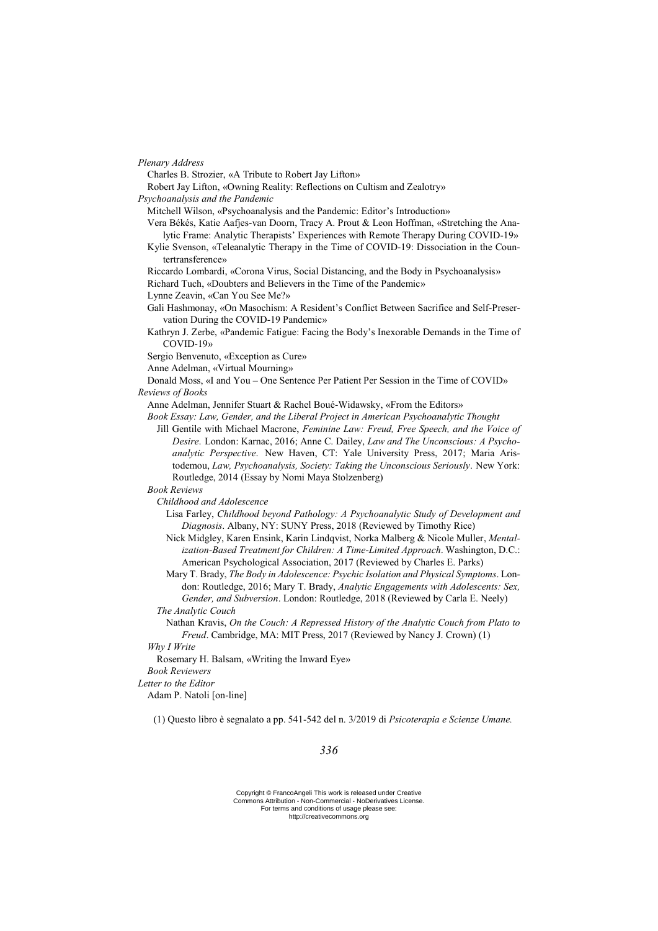*Plenary Address*

Charles B. Strozier, «A Tribute to Robert Jay Lifton»

- Robert Jay Lifton, «Owning Reality: Reflections on Cultism and Zealotry»
- *Psychoanalysis and the Pandemic*
	- Mitchell Wilson, «Psychoanalysis and the Pandemic: Editor's Introduction»
	- Vera Békés, Katie Aafjes-van Doorn, Tracy A. Prout & Leon Hoffman, «Stretching the Analytic Frame: Analytic Therapists' Experiences with Remote Therapy During COVID-19»
	- Kylie Svenson, «Teleanalytic Therapy in the Time of COVID-19: Dissociation in the Countertransference»
	- Riccardo Lombardi, «Corona Virus, Social Distancing, and the Body in Psychoanalysis»
	- Richard Tuch, «Doubters and Believers in the Time of the Pandemic»
	- Lynne Zeavin, «Can You See Me?»
	- Gali Hashmonay, «On Masochism: A Resident's Conflict Between Sacrifice and Self-Preservation During the COVID-19 Pandemic»
	- Kathryn J. Zerbe, «Pandemic Fatigue: Facing the Body's Inexorable Demands in the Time of COVID-19»
	- Sergio Benvenuto, «Exception as Cure»
	- Anne Adelman, «Virtual Mourning»

Donald Moss, «I and You – One Sentence Per Patient Per Session in the Time of COVID» *Reviews of Books*

- Anne Adelman, Jennifer Stuart & Rachel Boué-Widawsky, «From the Editors»
- *Book Essay: Law, Gender, and the Liberal Project in American Psychoanalytic Thought* Jill Gentile with Michael Macrone, *Feminine Law: Freud, Free Speech, and the Voice of* 
	- *Desire*. London: Karnac, 2016; Anne C. Dailey, *Law and The Unconscious: A Psychoanalytic Perspective*. New Haven, CT: Yale University Press, 2017; Maria Aristodemou, *Law, Psychoanalysis, Society: Taking the Unconscious Seriously*. New York: Routledge, 2014 (Essay by Nomi Maya Stolzenberg)
- *Book Reviews*
	- *Childhood and Adolescence*
		- Lisa Farley, *Childhood beyond Pathology: A Psychoanalytic Study of Development and Diagnosis*. Albany, NY: SUNY Press, 2018 (Reviewed by Timothy Rice)
		- Nick Midgley, Karen Ensink, Karin Lindqvist, Norka Malberg & Nicole Muller, *Mentalization-Based Treatment for Children: A Time-Limited Approach*. Washington, D.C.: American Psychological Association, 2017 (Reviewed by Charles E. Parks)
		- Mary T. Brady, *The Body in Adolescence: Psychic Isolation and Physical Symptoms*. London: Routledge, 2016; Mary T. Brady, *Analytic Engagements with Adolescents: Sex, Gender, and Subversion*. London: Routledge, 2018 (Reviewed by Carla E. Neely)
	- *The Analytic Couch*
		- Nathan Kravis, *On the Couch: A Repressed History of the Analytic Couch from Plato to Freud*. Cambridge, MA: MIT Press, 2017 (Reviewed by Nancy J. Crown) (1)

#### *Why I Write*

Rosemary H. Balsam, «Writing the Inward Eye»

### *Book Reviewers*

*Letter to the Editor*

Adam P. Natoli [on-line]

(1) Questo libro è segnalato a pp. 541-542 del n. 3/2019 di *Psicoterapia e Scienze Umane.*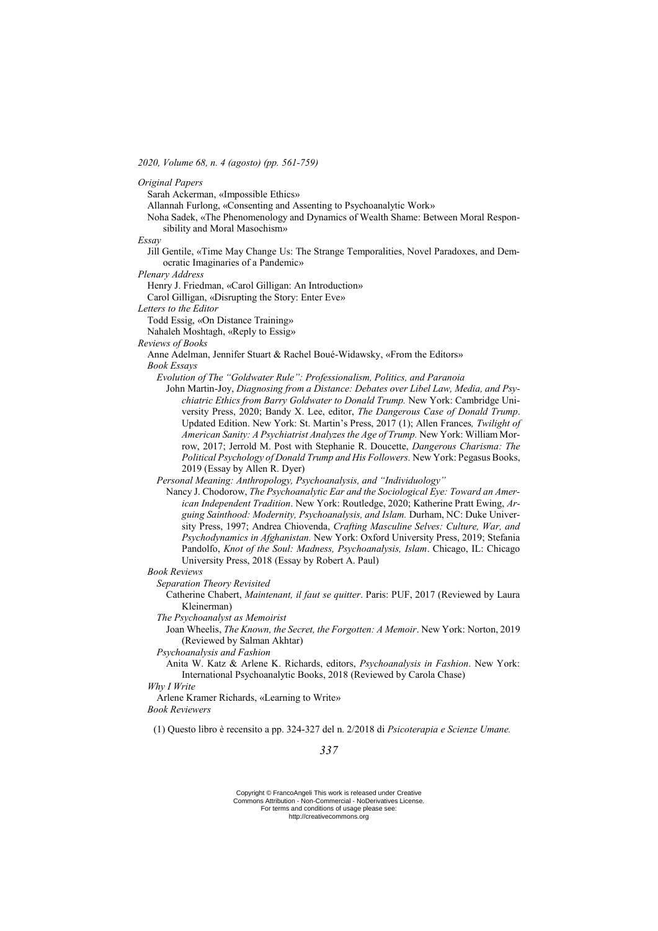*2020, Volume 68, n. 4 (agosto) (pp. 561-759)*

*Original Papers*

Sarah Ackerman, «Impossible Ethics»

Allannah Furlong, «Consenting and Assenting to Psychoanalytic Work»

Noha Sadek, «The Phenomenology and Dynamics of Wealth Shame: Between Moral Responsibility and Moral Masochism»

*Essay*

Jill Gentile, «Time May Change Us: The Strange Temporalities, Novel Paradoxes, and Democratic Imaginaries of a Pandemic»

*Plenary Address*

Henry J. Friedman, «Carol Gilligan: An Introduction»

Carol Gilligan, «Disrupting the Story: Enter Eve»

*Letters to the Editor*

Todd Essig, «On Distance Training»

Nahaleh Moshtagh, «Reply to Essig»

*Reviews of Books*

Anne Adelman, Jennifer Stuart & Rachel Boué-Widawsky, «From the Editors» *Book Essays*

*Evolution of The "Goldwater Rule": Professionalism, Politics, and Paranoia*

John Martin-Joy, *Diagnosing from a Distance: Debates over Libel Law, Media, and Psychiatric Ethics from Barry Goldwater to Donald Trump.* New York: Cambridge University Press, 2020; Bandy X. Lee, editor, *The Dangerous Case of Donald Trump*. Updated Edition. New York: St. Martin's Press, 2017 (1); Allen Frances*, Twilight of American Sanity: A Psychiatrist Analyzes the Age of Trump.* New York: William Morrow, 2017; Jerrold M. Post with Stephanie R. Doucette, *Dangerous Charisma: The Political Psychology of Donald Trump and His Followers.* New York: Pegasus Books, 2019 (Essay by Allen R. Dyer)

*Personal Meaning: Anthropology, Psychoanalysis, and "Individuology"*

Nancy J. Chodorow, *The Psychoanalytic Ear and the Sociological Eye: Toward an American Independent Tradition*. New York: Routledge, 2020; Katherine Pratt Ewing, *Arguing Sainthood: Modernity, Psychoanalysis, and Islam.* Durham, NC: Duke University Press, 1997; Andrea Chiovenda, *Crafting Masculine Selves: Culture, War, and Psychodynamics in Afghanistan.* New York: Oxford University Press, 2019; Stefania Pandolfo, *Knot of the Soul: Madness, Psychoanalysis, Islam*. Chicago, IL: Chicago University Press, 2018 (Essay by Robert A. Paul)

*Book Reviews*

*Separation Theory Revisited*

Catherine Chabert, *Maintenant, il faut se quitter*. Paris: PUF, 2017 (Reviewed by Laura Kleinerman)

*The Psychoanalyst as Memoirist*

Joan Wheelis, *The Known, the Secret, the Forgotten: A Memoir*. New York: Norton, 2019 (Reviewed by Salman Akhtar)

*Psychoanalysis and Fashion*

Anita W. Katz & Arlene K. Richards, editors, *Psychoanalysis in Fashion*. New York: International Psychoanalytic Books, 2018 (Reviewed by Carola Chase)

*Why I Write*

Arlene Kramer Richards, «Learning to Write»

*Book Reviewers*

(1) Questo libro è recensito a pp. 324-327 del n. 2/2018 di *Psicoterapia e Scienze Umane.*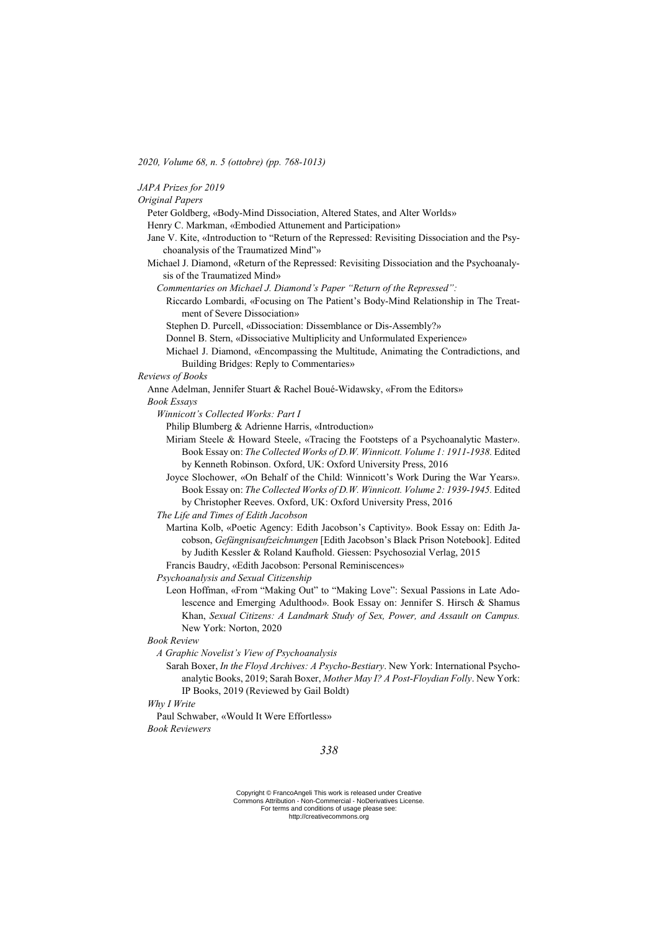*2020, Volume 68, n. 5 (ottobre) (pp. 768-1013)*

| JAPA Prizes for 2019 |  |  |
|----------------------|--|--|
|                      |  |  |

*Original Papers*

Peter Goldberg, «Body-Mind Dissociation, Altered States, and Alter Worlds»

Henry C. Markman, «Embodied Attunement and Participation»

- Jane V. Kite, «Introduction to "Return of the Repressed: Revisiting Dissociation and the Psychoanalysis of the Traumatized Mind"»
- Michael J. Diamond, «Return of the Repressed: Revisiting Dissociation and the Psychoanalysis of the Traumatized Mind»

*Commentaries on Michael J. Diamond's Paper "Return of the Repressed":*

- Riccardo Lombardi, «Focusing on The Patient's Body-Mind Relationship in The Treatment of Severe Dissociation»
- Stephen D. Purcell, «Dissociation: Dissemblance or Dis-Assembly?»

Donnel B. Stern, «Dissociative Multiplicity and Unformulated Experience»

Michael J. Diamond, «Encompassing the Multitude, Animating the Contradictions, and Building Bridges: Reply to Commentaries»

*Reviews of Books*

Anne Adelman, Jennifer Stuart & Rachel Boué-Widawsky, «From the Editors»

*Book Essays*

*Winnicott's Collected Works: Part I*

Philip Blumberg & Adrienne Harris, «Introduction»

- Miriam Steele & Howard Steele, «Tracing the Footsteps of a Psychoanalytic Master». Book Essay on: *The Collected Works of D.W. Winnicott. Volume 1: 1911-1938*. Edited by Kenneth Robinson. Oxford, UK: Oxford University Press, 2016
- Joyce Slochower, «On Behalf of the Child: Winnicott's Work During the War Years». Book Essay on: *The Collected Works of D.W. Winnicott. Volume 2: 1939-1945.* Edited by Christopher Reeves. Oxford, UK: Oxford University Press, 2016

*The Life and Times of Edith Jacobson*

Martina Kolb, «Poetic Agency: Edith Jacobson's Captivity». Book Essay on: Edith Jacobson, *Gefängnisaufzeichnungen* [Edith Jacobson's Black Prison Notebook]. Edited by Judith Kessler & Roland Kaufhold. Giessen: Psychosozial Verlag, 2015

Francis Baudry, «Edith Jacobson: Personal Reminiscences»

*Psychoanalysis and Sexual Citizenship*

Leon Hoffman, «From "Making Out" to "Making Love": Sexual Passions in Late Adolescence and Emerging Adulthood». Book Essay on: Jennifer S. Hirsch & Shamus Khan, *Sexual Citizens: A Landmark Study of Sex, Power, and Assault on Campus.*  New York: Norton, 2020

*Book Review*

- *A Graphic Novelist's View of Psychoanalysis*
	- Sarah Boxer, *In the Floyd Archives: A Psycho-Bestiary*. New York: International Psychoanalytic Books, 2019; Sarah Boxer, *Mother May I? A Post-Floydian Folly*. New York: IP Books, 2019 (Reviewed by Gail Boldt)

*Why I Write*

Paul Schwaber, «Would It Were Effortless» *Book Reviewers*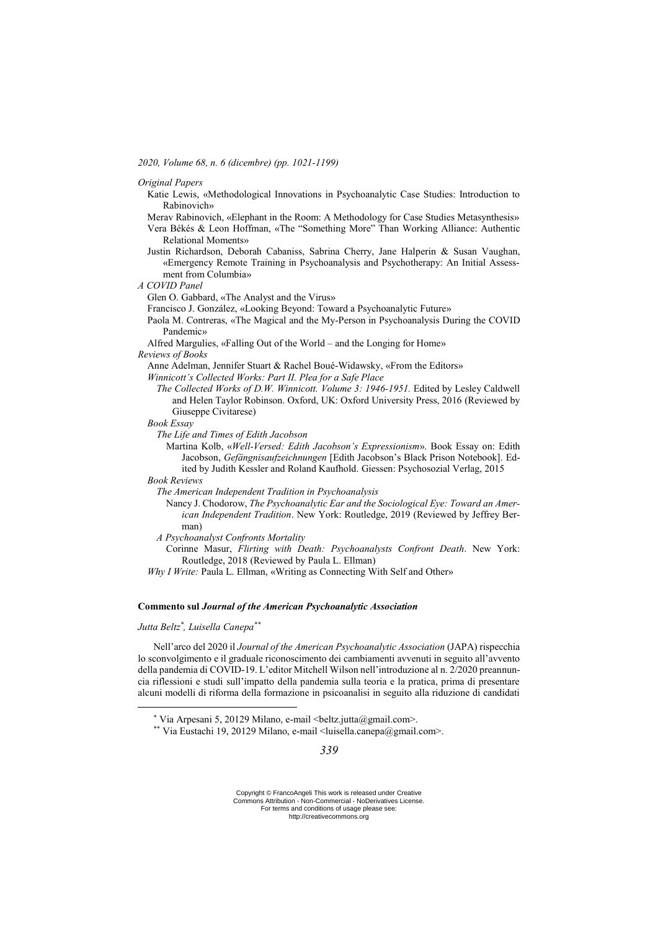*2020, Volume 68, n. 6 (dicembre) (pp. 1021-1199)*

*Original Papers*

- Katie Lewis, «Methodological Innovations in Psychoanalytic Case Studies: Introduction to Rabinovich»
- Merav Rabinovich, «Elephant in the Room: A Methodology for Case Studies Metasynthesis»
- Vera Békés & Leon Hoffman, «The "Something More" Than Working Alliance: Authentic Relational Moments»
- Justin Richardson, Deborah Cabaniss, Sabrina Cherry, Jane Halperin & Susan Vaughan, «Emergency Remote Training in Psychoanalysis and Psychotherapy: An Initial Assessment from Columbia»
- *A COVID Panel*
	- Glen O. Gabbard, «The Analyst and the Virus»
	- Francisco J. González, «Looking Beyond: Toward a Psychoanalytic Future»
	- Paola M. Contreras, «The Magical and the My-Person in Psychoanalysis During the COVID Pandemic»
	- Alfred Margulies, «Falling Out of the World and the Longing for Home»

#### *Reviews of Books*

- Anne Adelman, Jennifer Stuart & Rachel Boué-Widawsky, «From the Editors»
- *Winnicott's Collected Works: Part II. Plea for a Safe Place*
	- *The Collected Works of D.W. Winnicott. Volume 3: 1946-1951.* Edited by Lesley Caldwell and Helen Taylor Robinson. Oxford, UK: Oxford University Press, 2016 (Reviewed by Giuseppe Civitarese)

### *Book Essay*

- *The Life and Times of Edith Jacobson*
	- Martina Kolb, «*Well-Versed: Edith Jacobson's Expressionism*». Book Essay on: Edith Jacobson, *Gefängnisaufzeichnungen* [Edith Jacobson's Black Prison Notebook]. Edited by Judith Kessler and Roland Kaufhold. Giessen: Psychosozial Verlag, 2015

*Book Reviews*

- *The American Independent Tradition in Psychoanalysis*
	- Nancy J. Chodorow, *The Psychoanalytic Ear and the Sociological Eye: Toward an American Independent Tradition*. New York: Routledge, 2019 (Reviewed by Jeffrey Berman)
- *A Psychoanalyst Confronts Mortality*

Corinne Masur, *Flirting with Death: Psychoanalysts Confront Death*. New York: Routledge, 2018 (Reviewed by Paula L. Ellman)

*Why I Write:* Paula L. Ellman, «Writing as Connecting With Self and Other»

### **Commento sul** *Journal of the American Psychoanalytic Association*

### *Jutta Beltz\* , Luisella Canepa\*\**

<u>.</u>

Nell'arco del 2020 il *Journal of the American Psychoanalytic Association* (JAPA) rispecchia lo sconvolgimento e il graduale riconoscimento dei cambiamenti avvenuti in seguito all'avvento della pandemia di COVID-19. L'editor Mitchell Wilson nell'introduzione al n. 2/2020 preannuncia riflessioni e studi sull'impatto della pandemia sulla teoria e la pratica, prima di presentare alcuni modelli di riforma della formazione in psicoanalisi in seguito alla riduzione di candidati

\*\* Via Eustachi 19, 20129 Milano, e-mail <luisella.canepa@gmail.com>.

 $*$  Via Arpesani 5, 20129 Milano, e-mail <br/>beltz.jutta@gmail.com>.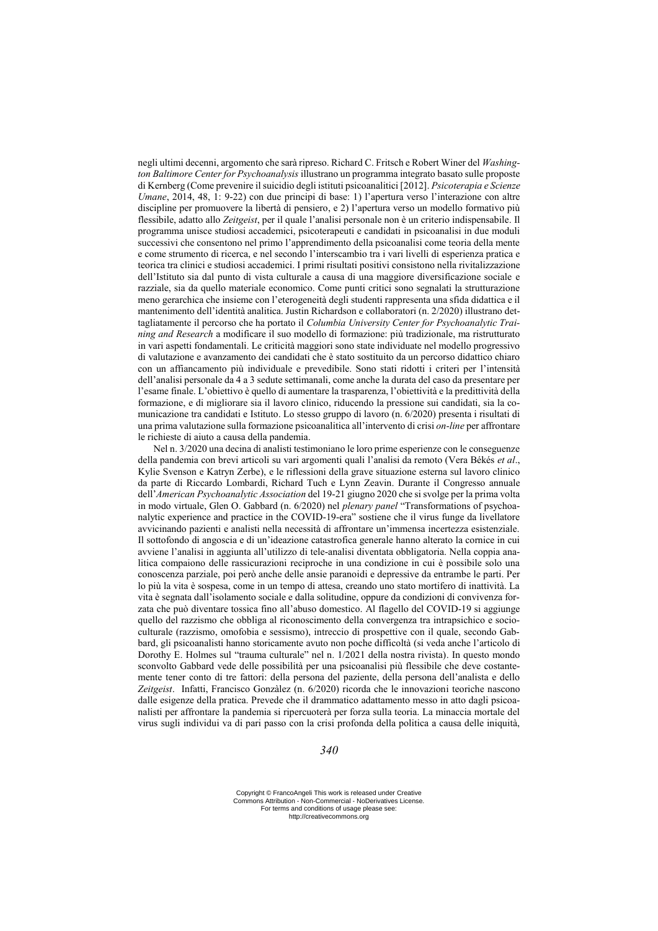negli ultimi decenni, argomento che sarà ripreso. Richard C. Fritsch e Robert Winer del *Washington Baltimore Center for Psychoanalysis* illustrano un programma integrato basato sulle proposte di Kernberg (Come prevenire il suicidio degli istituti psicoanalitici [2012]. *Psicoterapia e Scienze Umane*, 2014, 48, 1: 9-22) con due principi di base: 1) l'apertura verso l'interazione con altre discipline per promuovere la libertà di pensiero, e 2) l'apertura verso un modello formativo più flessibile, adatto allo *Zeitgeist*, per il quale l'analisi personale non è un criterio indispensabile. Il programma unisce studiosi accademici, psicoterapeuti e candidati in psicoanalisi in due moduli successivi che consentono nel primo l'apprendimento della psicoanalisi come teoria della mente e come strumento di ricerca, e nel secondo l'interscambio tra i vari livelli di esperienza pratica e teorica tra clinici e studiosi accademici. I primi risultati positivi consistono nella rivitalizzazione dell'Istituto sia dal punto di vista culturale a causa di una maggiore diversificazione sociale e razziale, sia da quello materiale economico. Come punti critici sono segnalati la strutturazione meno gerarchica che insieme con l'eterogeneità degli studenti rappresenta una sfida didattica e il mantenimento dell'identità analitica. Justin Richardson e collaboratori (n. 2/2020) illustrano dettagliatamente il percorso che ha portato il *Columbia University Center for Psychoanalytic Training and Research* a modificare il suo modello di formazione: più tradizionale, ma ristrutturato in vari aspetti fondamentali. Le criticità maggiori sono state individuate nel modello progressivo di valutazione e avanzamento dei candidati che è stato sostituito da un percorso didattico chiaro con un affiancamento più individuale e prevedibile. Sono stati ridotti i criteri per l'intensità dell'analisi personale da 4 a 3 sedute settimanali, come anche la durata del caso da presentare per l'esame finale. L'obiettivo è quello di aumentare la trasparenza, l'obiettività e la predittività della formazione, e di migliorare sia il lavoro clinico, riducendo la pressione sui candidati, sia la comunicazione tra candidati e Istituto. Lo stesso gruppo di lavoro (n. 6/2020) presenta i risultati di una prima valutazione sulla formazione psicoanalitica all'intervento di crisi *on-line* per affrontare le richieste di aiuto a causa della pandemia.

Nel n. 3/2020 una decina di analisti testimoniano le loro prime esperienze con le conseguenze della pandemia con brevi articoli su vari argomenti quali l'analisi da remoto (Vera Békés *et al*., Kylie Svenson e Katryn Zerbe), e le riflessioni della grave situazione esterna sul lavoro clinico da parte di Riccardo Lombardi, Richard Tuch e Lynn Zeavin. Durante il Congresso annuale dell'*American Psychoanalytic Association* del 19-21 giugno 2020 che si svolge per la prima volta in modo virtuale, Glen O. Gabbard (n. 6/2020) nel *plenary panel* "Transformations of psychoanalytic experience and practice in the COVID-19-era" sostiene che il virus funge da livellatore avvicinando pazienti e analisti nella necessità di affrontare un'immensa incertezza esistenziale. Il sottofondo di angoscia e di un'ideazione catastrofica generale hanno alterato la cornice in cui avviene l'analisi in aggiunta all'utilizzo di tele-analisi diventata obbligatoria. Nella coppia analitica compaiono delle rassicurazioni reciproche in una condizione in cui è possibile solo una conoscenza parziale, poi però anche delle ansie paranoidi e depressive da entrambe le parti. Per lo più la vita è sospesa, come in un tempo di attesa, creando uno stato mortifero di inattività. La vita è segnata dall'isolamento sociale e dalla solitudine, oppure da condizioni di convivenza forzata che può diventare tossica fino all'abuso domestico. Al flagello del COVID-19 si aggiunge quello del razzismo che obbliga al riconoscimento della convergenza tra intrapsichico e socioculturale (razzismo, omofobia e sessismo), intreccio di prospettive con il quale, secondo Gabbard, gli psicoanalisti hanno storicamente avuto non poche difficoltà (si veda anche l'articolo di Dorothy E. Holmes sul "trauma culturale" nel n. 1/2021 della nostra rivista). In questo mondo sconvolto Gabbard vede delle possibilità per una psicoanalisi più flessibile che deve costantemente tener conto di tre fattori: della persona del paziente, della persona dell'analista e dello *Zeitgeist*. Infatti, Francisco Gonzàlez (n. 6/2020) ricorda che le innovazioni teoriche nascono dalle esigenze della pratica. Prevede che il drammatico adattamento messo in atto dagli psicoanalisti per affrontare la pandemia si ripercuoterà per forza sulla teoria. La minaccia mortale del virus sugli individui va di pari passo con la crisi profonda della politica a causa delle iniquità,

# *340*

Copyright © FrancoAngeli This work is released under Creative Commons Attribution - Non-Commercial - NoDerivatives License. For terms and conditions of usage please see: http://creativecommons.org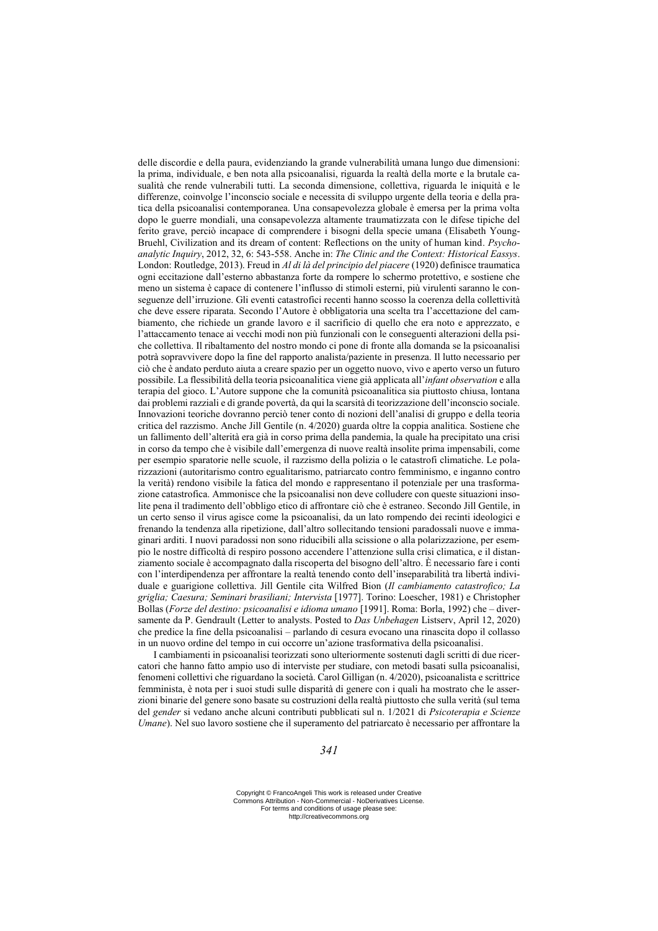delle discordie e della paura, evidenziando la grande vulnerabilità umana lungo due dimensioni: la prima, individuale, e ben nota alla psicoanalisi, riguarda la realtà della morte e la brutale casualità che rende vulnerabili tutti. La seconda dimensione, collettiva, riguarda le iniquità e le differenze, coinvolge l'inconscio sociale e necessita di sviluppo urgente della teoria e della pratica della psicoanalisi contemporanea. Una consapevolezza globale è emersa per la prima volta dopo le guerre mondiali, una consapevolezza altamente traumatizzata con le difese tipiche del ferito grave, perciò incapace di comprendere i bisogni della specie umana (Elisabeth Young-Bruehl, Civilization and its dream of content: Reflections on the unity of human kind. *Psychoanalytic Inquiry*, 2012, 32, 6: 543-558. Anche in: *The Clinic and the Context: Historical Eassys*. London: Routledge, 2013). Freud in *Al di là del principio del piacere* (1920) definisce traumatica ogni eccitazione dall'esterno abbastanza forte da rompere lo schermo protettivo, e sostiene che meno un sistema è capace di contenere l'influsso di stimoli esterni, più virulenti saranno le conseguenze dell'irruzione. Gli eventi catastrofici recenti hanno scosso la coerenza della collettività che deve essere riparata. Secondo l'Autore è obbligatoria una scelta tra l'accettazione del cambiamento, che richiede un grande lavoro e il sacrificio di quello che era noto e apprezzato, e l'attaccamento tenace ai vecchi modi non più funzionali con le conseguenti alterazioni della psiche collettiva. Il ribaltamento del nostro mondo ci pone di fronte alla domanda se la psicoanalisi potrà sopravvivere dopo la fine del rapporto analista/paziente in presenza. Il lutto necessario per ciò che è andato perduto aiuta a creare spazio per un oggetto nuovo, vivo e aperto verso un futuro possibile. La flessibilità della teoria psicoanalitica viene già applicata all'*infant observation* e alla terapia del gioco. L'Autore suppone che la comunità psicoanalitica sia piuttosto chiusa, lontana dai problemi razziali e di grande povertà, da qui la scarsità di teorizzazione dell'inconscio sociale. Innovazioni teoriche dovranno perciò tener conto di nozioni dell'analisi di gruppo e della teoria critica del razzismo. Anche Jill Gentile (n. 4/2020) guarda oltre la coppia analitica. Sostiene che un fallimento dell'alterità era già in corso prima della pandemia, la quale ha precipitato una crisi in corso da tempo che è visibile dall'emergenza di nuove realtà insolite prima impensabili, come per esempio sparatorie nelle scuole, il razzismo della polizia o le catastrofi climatiche. Le polarizzazioni (autoritarismo contro egualitarismo, patriarcato contro femminismo, e inganno contro la verità) rendono visibile la fatica del mondo e rappresentano il potenziale per una trasformazione catastrofica. Ammonisce che la psicoanalisi non deve colludere con queste situazioni insolite pena il tradimento dell'obbligo etico di affrontare ciò che è estraneo. Secondo Jill Gentile, in un certo senso il virus agisce come la psicoanalisi, da un lato rompendo dei recinti ideologici e frenando la tendenza alla ripetizione, dall'altro sollecitando tensioni paradossali nuove e immaginari arditi. I nuovi paradossi non sono riducibili alla scissione o alla polarizzazione, per esempio le nostre difficoltà di respiro possono accendere l'attenzione sulla crisi climatica, e il distanziamento sociale è accompagnato dalla riscoperta del bisogno dell'altro. È necessario fare i conti con l'interdipendenza per affrontare la realtà tenendo conto dell'inseparabilità tra libertà individuale e guarigione collettiva. Jill Gentile cita Wilfred Bion (*Il cambiamento catastrofico; La griglia; Caesura; Seminari brasiliani; Intervista* [1977]. Torino: Loescher, 1981) e Christopher Bollas (*Forze del destino: psicoanalisi e idioma umano* [1991]. Roma: Borla, 1992) che – diversamente da P. Gendrault (Letter to analysts. Posted to *Das Unbehagen* Listserv, April 12, 2020) che predice la fine della psicoanalisi – parlando di cesura evocano una rinascita dopo il collasso in un nuovo ordine del tempo in cui occorre un'azione trasformativa della psicoanalisi.

I cambiamenti in psicoanalisi teorizzati sono ulteriormente sostenuti dagli scritti di due ricercatori che hanno fatto ampio uso di interviste per studiare, con metodi basati sulla psicoanalisi, fenomeni collettivi che riguardano la società. Carol Gilligan (n. 4/2020), psicoanalista e scrittrice femminista, è nota per i suoi studi sulle disparità di genere con i quali ha mostrato che le asserzioni binarie del genere sono basate su costruzioni della realtà piuttosto che sulla verità (sul tema del *gender* si vedano anche alcuni contributi pubblicati sul n. 1/2021 di *Psicoterapia e Scienze Umane*). Nel suo lavoro sostiene che il superamento del patriarcato è necessario per affrontare la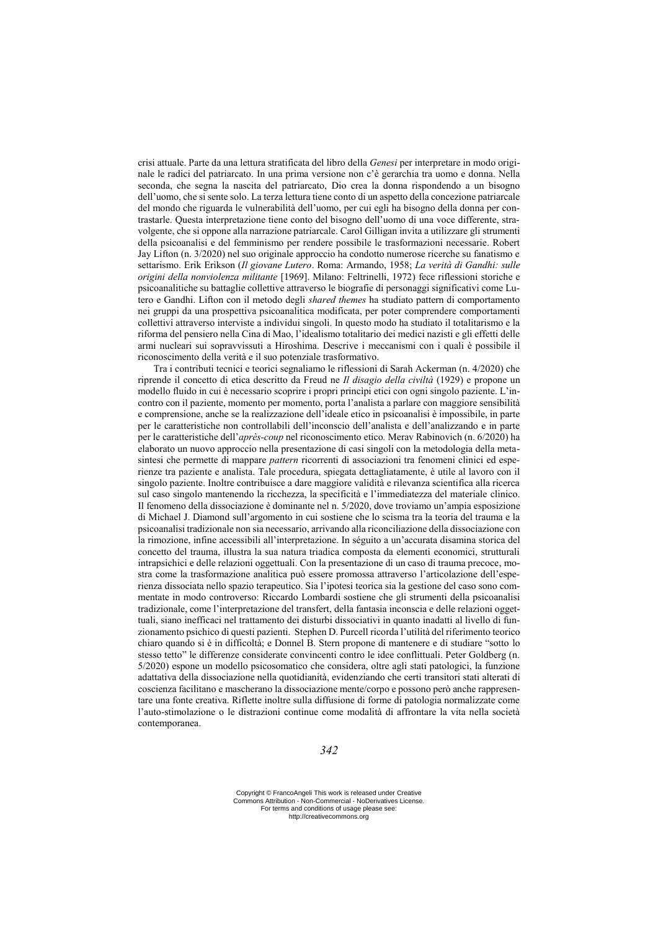crisi attuale. Parte da una lettura stratificata del libro della *Genesi* per interpretare in modo originale le radici del patriarcato. In una prima versione non c'è gerarchia tra uomo e donna. Nella seconda, che segna la nascita del patriarcato, Dio crea la donna rispondendo a un bisogno dell'uomo, che si sente solo. La terza lettura tiene conto di un aspetto della concezione patriarcale del mondo che riguarda le vulnerabilità dell'uomo, per cui egli ha bisogno della donna per contrastarle. Questa interpretazione tiene conto del bisogno dell'uomo di una voce differente, stravolgente, che si oppone alla narrazione patriarcale. Carol Gilligan invita a utilizzare gli strumenti della psicoanalisi e del femminismo per rendere possibile le trasformazioni necessarie. Robert Jay Lifton (n. 3/2020) nel suo originale approccio ha condotto numerose ricerche su fanatismo e settarismo. Erik Erikson (*Il giovane Lutero*. Roma: Armando, 1958; *La verità di Gandhi: sulle origini della nonviolenza militante* [1969]. Milano: Feltrinelli, 1972) fece riflessioni storiche e psicoanalitiche su battaglie collettive attraverso le biografie di personaggi significativi come Lutero e Gandhi. Lifton con il metodo degli *shared themes* ha studiato pattern di comportamento nei gruppi da una prospettiva psicoanalitica modificata, per poter comprendere comportamenti collettivi attraverso interviste a individui singoli. In questo modo ha studiato il totalitarismo e la riforma del pensiero nella Cina di Mao, l'idealismo totalitario dei medici nazisti e gli effetti delle armi nucleari sui sopravvissuti a Hiroshima. Descrive i meccanismi con i quali è possibile il riconoscimento della verità e il suo potenziale trasformativo.

Tra i contributi tecnici e teorici segnaliamo le riflessioni di Sarah Ackerman (n. 4/2020) che riprende il concetto di etica descritto da Freud ne *Il disagio della civiltà* (1929) e propone un modello fluido in cui è necessario scoprire i propri princìpi etici con ogni singolo paziente. L'incontro con il paziente, momento per momento, porta l'analista a parlare con maggiore sensibilità e comprensione, anche se la realizzazione dell'ideale etico in psicoanalisi è impossibile, in parte per le caratteristiche non controllabili dell'inconscio dell'analista e dell'analizzando e in parte per le caratteristiche dell'*après-coup* nel riconoscimento etico*.* Merav Rabinovich (n. 6/2020) ha elaborato un nuovo approccio nella presentazione di casi singoli con la metodologia della metasintesi che permette di mappare *pattern* ricorrenti di associazioni tra fenomeni clinici ed esperienze tra paziente e analista. Tale procedura, spiegata dettagliatamente, è utile al lavoro con il singolo paziente. Inoltre contribuisce a dare maggiore validità e rilevanza scientifica alla ricerca sul caso singolo mantenendo la ricchezza, la specificità e l'immediatezza del materiale clinico. Il fenomeno della dissociazione è dominante nel n. 5/2020, dove troviamo un'ampia esposizione di Michael J. Diamond sull'argomento in cui sostiene che lo scisma tra la teoria del trauma e la psicoanalisi tradizionale non sia necessario, arrivando alla riconciliazione della dissociazione con la rimozione, infine accessibili all'interpretazione. In séguito a un'accurata disamina storica del concetto del trauma, illustra la sua natura triadica composta da elementi economici, strutturali intrapsichici e delle relazioni oggettuali. Con la presentazione di un caso di trauma precoce, mostra come la trasformazione analitica può essere promossa attraverso l'articolazione dell'esperienza dissociata nello spazio terapeutico. Sia l'ipotesi teorica sia la gestione del caso sono commentate in modo controverso: Riccardo Lombardi sostiene che gli strumenti della psicoanalisi tradizionale, come l'interpretazione del transfert, della fantasia inconscia e delle relazioni oggettuali, siano inefficaci nel trattamento dei disturbi dissociativi in quanto inadatti al livello di funzionamento psichico di questi pazienti. Stephen D. Purcell ricorda l'utilità del riferimento teorico chiaro quando si è in difficoltà; e Donnel B. Stern propone di mantenere e di studiare "sotto lo stesso tetto" le differenze considerate convincenti contro le idee conflittuali. Peter Goldberg (n. 5/2020) espone un modello psicosomatico che considera, oltre agli stati patologici, la funzione adattativa della dissociazione nella quotidianità, evidenziando che certi transitori stati alterati di coscienza facilitano e mascherano la dissociazione mente/corpo e possono però anche rappresentare una fonte creativa. Riflette inoltre sulla diffusione di forme di patologia normalizzate come l'auto-stimolazione o le distrazioni continue come modalità di affrontare la vita nella società contemporanea.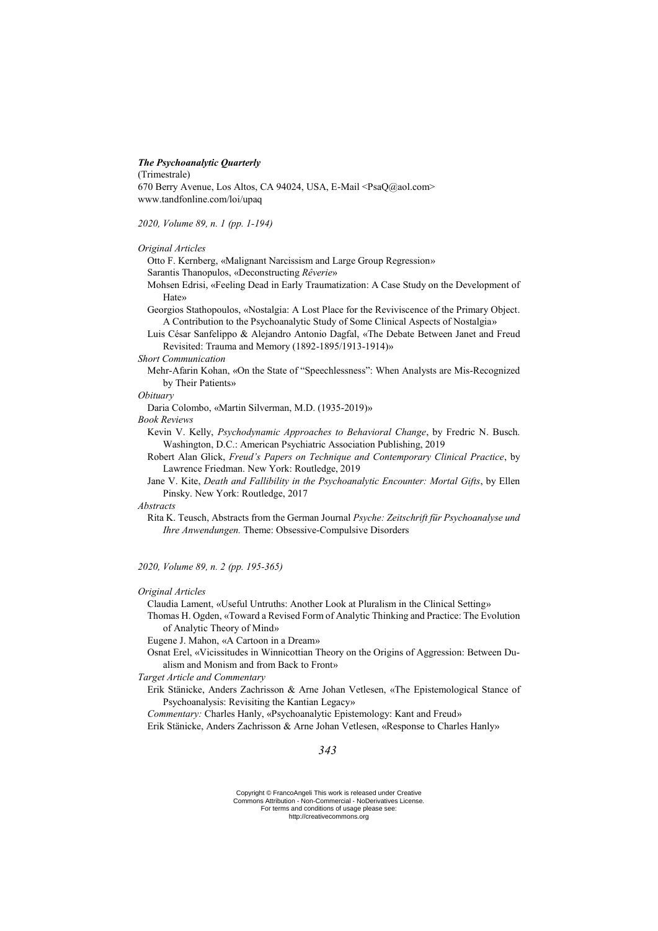## *The Psychoanalytic Quarterly*

(Trimestrale)

670 Berry Avenue, Los Altos, CA 94024, USA, E-Mail <PsaQ@aol.com> www.tandfonline.com/loi/upaq

*2020, Volume 89, n. 1 (pp. 1-194)*

# *Original Articles*

Otto F. Kernberg, «Malignant Narcissism and Large Group Regression» Sarantis Thanopulos, «Deconstructing *Rêverie*»

Mohsen Edrisi, «Feeling Dead in Early Traumatization: A Case Study on the Development of Hate»

Georgios Stathopoulos, «Nostalgia: A Lost Place for the Reviviscence of the Primary Object. A Contribution to the Psychoanalytic Study of Some Clinical Aspects of Nostalgia»

Luis César Sanfelippo & Alejandro Antonio Dagfal, «The Debate Between Janet and Freud Revisited: Trauma and Memory (1892-1895/1913-1914)»

# *Short Communication*

Mehr-Afarin Kohan, «On the State of "Speechlessness": When Analysts are Mis-Recognized by Their Patients»

# *Obituary*

Daria Colombo, «Martin Silverman, M.D. (1935-2019)»

# *Book Reviews*

Kevin V. Kelly, *Psychodynamic Approaches to Behavioral Change*, by Fredric N. Busch. Washington, D.C.: American Psychiatric Association Publishing, 2019

Robert Alan Glick, *Freud's Papers on Technique and Contemporary Clinical Practice*, by Lawrence Friedman. New York: Routledge, 2019

Jane V. Kite, *Death and Fallibility in the Psychoanalytic Encounter: Mortal Gifts*, by Ellen Pinsky. New York: Routledge, 2017

# *Abstracts*

Rita K. Teusch, Abstracts from the German Journal *Psyche: Zeitschrift für Psychoanalyse und Ihre Anwendungen.* Theme: Obsessive-Compulsive Disorders

*2020, Volume 89, n. 2 (pp. 195-365)*

# *Original Articles*

Claudia Lament, «Useful Untruths: Another Look at Pluralism in the Clinical Setting»

Thomas H. Ogden, «Toward a Revised Form of Analytic Thinking and Practice: The Evolution of Analytic Theory of Mind»

Eugene J. Mahon, «A Cartoon in a Dream»

Osnat Erel, «Vicissitudes in Winnicottian Theory on the Origins of Aggression: Between Dualism and Monism and from Back to Front»

*Target Article and Commentary*

Erik Stänicke, Anders Zachrisson & Arne Johan Vetlesen, «The Epistemological Stance of Psychoanalysis: Revisiting the Kantian Legacy»

*Commentary:* Charles Hanly, «Psychoanalytic Epistemology: Kant and Freud»

Erik Stänicke, Anders Zachrisson & Arne Johan Vetlesen, «Response to Charles Hanly»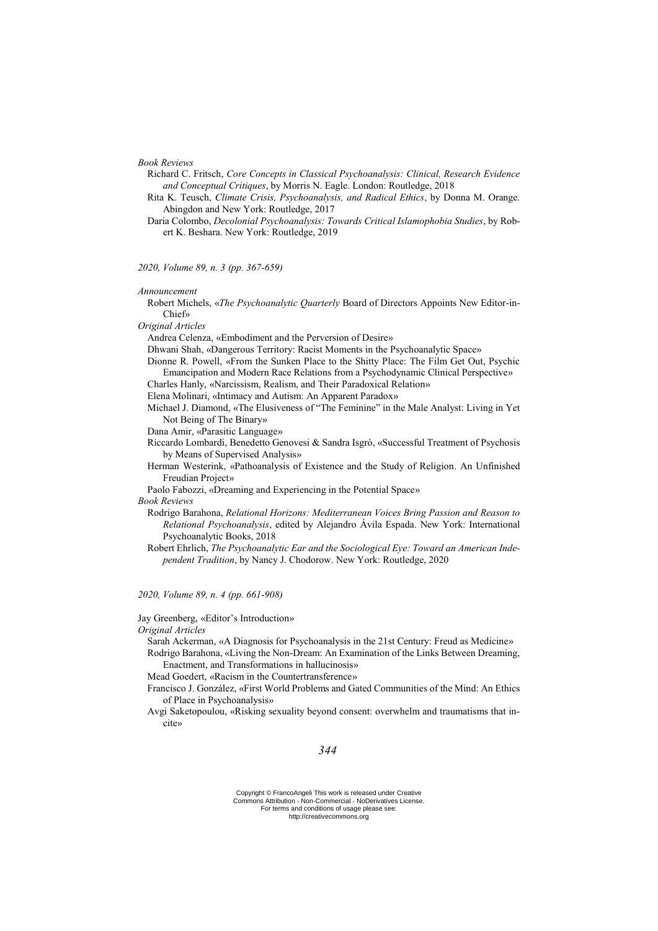#### *Book Reviews*

- Richard C. Fritsch, *Core Concepts in Classical Psychoanalysis: Clinical, Research Evidence and Conceptual Critiques*, by Morris N. Eagle. London: Routledge, 2018
- Rita K. Teusch, *Climate Crisis, Psychoanalysis, and Radical Ethics*, by Donna M. Orange. Abingdon and New York: Routledge, 2017
- Daria Colombo, *Decolonial Psychoanalysis: Towards Critical Islamophobia Studies*, by Robert K. Beshara. New York: Routledge, 2019

#### *2020, Volume 89, n. 3 (pp. 367-659)*

*Announcement*

Robert Michels, «*The Psychoanalytic Quarterly* Board of Directors Appoints New Editor-in-Chief»

*Original Articles*

Andrea Celenza, «Embodiment and the Perversion of Desire»

Dhwani Shah, «Dangerous Territory: Racist Moments in the Psychoanalytic Space»

- Dionne R. Powell, «From the Sunken Place to the Shitty Place: The Film Get Out, Psychic Emancipation and Modern Race Relations from a Psychodynamic Clinical Perspective»
- Charles Hanly, «Narcissism, Realism, and Their Paradoxical Relation»
- Elena Molinari, «Intimacy and Autism: An Apparent Paradox»
- Michael J. Diamond, «The Elusiveness of "The Feminine" in the Male Analyst: Living in Yet Not Being of The Binary»
- Dana Amir, «Parasitic Language»
- Riccardo Lombardi, Benedetto Genovesi & Sandra Isgrò, «Successful Treatment of Psychosis by Means of Supervised Analysis»
- Herman Westerink, «Pathoanalysis of Existence and the Study of Religion. An Unfinished Freudian Project»
- Paolo Fabozzi, «Dreaming and Experiencing in the Potential Space»

*Book Reviews*

- Rodrigo Barahona, *Relational Horizons: Mediterranean Voices Bring Passion and Reason to Relational Psychoanalysis*, edited by Alejandro Ávila Espada. New York: International Psychoanalytic Books, 2018
- Robert Ehrlich, *The Psychoanalytic Ear and the Sociological Eye: Toward an American Independent Tradition*, by Nancy J. Chodorow. New York: Routledge, 2020
- *2020, Volume 89, n. 4 (pp. 661-908)*

Jay Greenberg, «Editor's Introduction»

*Original Articles*

- Sarah Ackerman, «A Diagnosis for Psychoanalysis in the 21st Century: Freud as Medicine» Rodrigo Barahona, «Living the Non-Dream: An Examination of the Links Between Dreaming, Enactment, and Transformations in hallucinosis»
- Mead Goedert, «Racism in the Countertransference»
- Francisco J. González, «First World Problems and Gated Communities of the Mind: An Ethics of Place in Psychoanalysis»
- Avgi Saketopoulou, «Risking sexuality beyond consent: overwhelm and traumatisms that incite»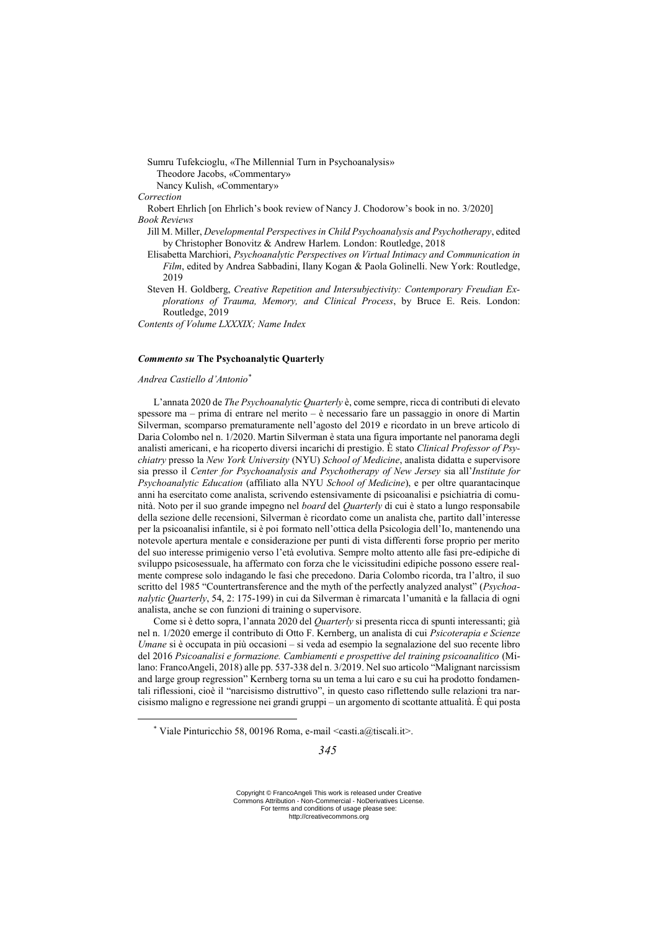Sumru Tufekcioglu, «The Millennial Turn in Psychoanalysis» Theodore Jacobs, «Commentary» Nancy Kulish, «Commentary»

#### *Correction*

Robert Ehrlich [on Ehrlich's book review of Nancy J. Chodorow's book in no. 3/2020] *Book Reviews*

Jill M. Miller, *Developmental Perspectives in Child Psychoanalysis and Psychotherapy*, edited by Christopher Bonovitz & Andrew Harlem. London: Routledge, 2018

Elisabetta Marchiori, *Psychoanalytic Perspectives on Virtual Intimacy and Communication in Film*, edited by Andrea Sabbadini, Ilany Kogan & Paola Golinelli. New York: Routledge, 2019

Steven H. Goldberg, *Creative Repetition and Intersubjectivity: Contemporary Freudian Explorations of Trauma, Memory, and Clinical Process*, by Bruce E. Reis. London: Routledge, 2019

*Contents of Volume LXXXIX; Name Index*

### *Commento su* **The Psychoanalytic Quarterly**

#### *Andrea Castiello d'Antonio\**

<u>.</u>

L'annata 2020 de *The Psychoanalytic Quarterly* è, come sempre, ricca di contributi di elevato spessore ma – prima di entrare nel merito – è necessario fare un passaggio in onore di Martin Silverman, scomparso prematuramente nell'agosto del 2019 e ricordato in un breve articolo di Daria Colombo nel n. 1/2020. Martin Silverman è stata una figura importante nel panorama degli analisti americani, e ha ricoperto diversi incarichi di prestigio. È stato *Clinical Professor of Psychiatry* presso la *New York University* (NYU) *School of Medicine*, analista didatta e supervisore sia presso il *Center for Psychoanalysis and Psychotherapy of New Jersey* sia all'*Institute for Psychoanalytic Education* (affiliato alla NYU *School of Medicine*), e per oltre quarantacinque anni ha esercitato come analista, scrivendo estensivamente di psicoanalisi e psichiatria di comunità. Noto per il suo grande impegno nel *board* del *Quarterly* di cui è stato a lungo responsabile della sezione delle recensioni, Silverman è ricordato come un analista che, partito dall'interesse per la psicoanalisi infantile, si è poi formato nell'ottica della Psicologia dell'Io, mantenendo una notevole apertura mentale e considerazione per punti di vista differenti forse proprio per merito del suo interesse primigenio verso l'età evolutiva. Sempre molto attento alle fasi pre-edipiche di sviluppo psicosessuale, ha affermato con forza che le vicissitudini edipiche possono essere realmente comprese solo indagando le fasi che precedono. Daria Colombo ricorda, tra l'altro, il suo scritto del 1985 "Countertransference and the myth of the perfectly analyzed analyst" (*Psychoanalytic Quarterly*, 54, 2: 175-199) in cui da Silverman è rimarcata l'umanità e la fallacia di ogni analista, anche se con funzioni di training o supervisore.

Come si è detto sopra, l'annata 2020 del *Quarterly* si presenta ricca di spunti interessanti; già nel n. 1/2020 emerge il contributo di Otto F. Kernberg, un analista di cui *Psicoterapia e Scienze Umane* si è occupata in più occasioni – si veda ad esempio la segnalazione del suo recente libro del 2016 *Psicoanalisi e formazione. Cambiamenti e prospettive del training psicoanalitico* (Milano: FrancoAngeli, 2018) alle pp. 537-338 del n. 3/2019. Nel suo articolo "Malignant narcissism and large group regression" Kernberg torna su un tema a lui caro e su cui ha prodotto fondamentali riflessioni, cioè il "narcisismo distruttivo", in questo caso riflettendo sulle relazioni tra narcisismo maligno e regressione nei grandi gruppi – un argomento di scottante attualità. È qui posta

<sup>\*</sup> Viale Pinturicchio 58, 00196 Roma, e-mail <casti.a@tiscali.it>.

Copyright © FrancoAngeli This work is released under Creative Commons Attribution - Non-Commercial - NoDerivatives License. For terms and conditions of usage please see: http://creativecommons.org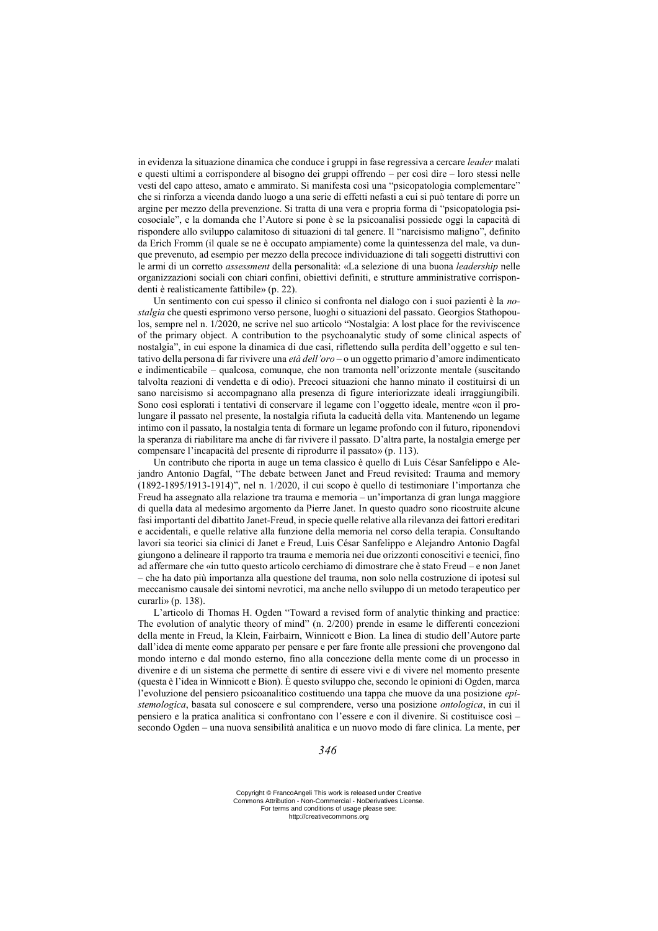in evidenza la situazione dinamica che conduce i gruppi in fase regressiva a cercare *leader* malati e questi ultimi a corrispondere al bisogno dei gruppi offrendo – per così dire – loro stessi nelle vesti del capo atteso, amato e ammirato. Si manifesta così una "psicopatologia complementare" che si rinforza a vicenda dando luogo a una serie di effetti nefasti a cui si può tentare di porre un argine per mezzo della prevenzione. Si tratta di una vera e propria forma di "psicopatologia psicosociale", e la domanda che l'Autore si pone è se la psicoanalisi possiede oggi la capacità di rispondere allo sviluppo calamitoso di situazioni di tal genere. Il "narcisismo maligno", definito da Erich Fromm (il quale se ne è occupato ampiamente) come la quintessenza del male, va dunque prevenuto, ad esempio per mezzo della precoce individuazione di tali soggetti distruttivi con le armi di un corretto *assessment* della personalità: «La selezione di una buona *leadership* nelle organizzazioni sociali con chiari confini, obiettivi definiti, e strutture amministrative corrispondenti è realisticamente fattibile» (p. 22).

Un sentimento con cui spesso il clinico si confronta nel dialogo con i suoi pazienti è la *nostalgia* che questi esprimono verso persone, luoghi o situazioni del passato. Georgios Stathopoulos, sempre nel n. 1/2020, ne scrive nel suo articolo "Nostalgia: A lost place for the reviviscence of the primary object. A contribution to the psychoanalytic study of some clinical aspects of nostalgia", in cui espone la dinamica di due casi, riflettendo sulla perdita dell'oggetto e sul tentativo della persona di far rivivere una *età dell'oro* – o un oggetto primario d'amore indimenticato e indimenticabile – qualcosa, comunque, che non tramonta nell'orizzonte mentale (suscitando talvolta reazioni di vendetta e di odio). Precoci situazioni che hanno minato il costituirsi di un sano narcisismo si accompagnano alla presenza di figure interiorizzate ideali irraggiungibili. Sono così esplorati i tentativi di conservare il legame con l'oggetto ideale, mentre «con il prolungare il passato nel presente, la nostalgia rifiuta la caducità della vita. Mantenendo un legame intimo con il passato, la nostalgia tenta di formare un legame profondo con il futuro, riponendovi la speranza di riabilitare ma anche di far rivivere il passato. D'altra parte, la nostalgia emerge per compensare l'incapacità del presente di riprodurre il passato» (p. 113).

Un contributo che riporta in auge un tema classico è quello di Luis César Sanfelippo e Alejandro Antonio Dagfal, "The debate between Janet and Freud revisited: Trauma and memory (1892-1895/1913-1914)", nel n. 1/2020, il cui scopo è quello di testimoniare l'importanza che Freud ha assegnato alla relazione tra trauma e memoria – un'importanza di gran lunga maggiore di quella data al medesimo argomento da Pierre Janet. In questo quadro sono ricostruite alcune fasi importanti del dibattito Janet-Freud, in specie quelle relative alla rilevanza dei fattori ereditari e accidentali, e quelle relative alla funzione della memoria nel corso della terapia. Consultando lavori sia teorici sia clinici di Janet e Freud, Luis César Sanfelippo e Alejandro Antonio Dagfal giungono a delineare il rapporto tra trauma e memoria nei due orizzonti conoscitivi e tecnici, fino ad affermare che «in tutto questo articolo cerchiamo di dimostrare che è stato Freud – e non Janet – che ha dato più importanza alla questione del trauma, non solo nella costruzione di ipotesi sul meccanismo causale dei sintomi nevrotici, ma anche nello sviluppo di un metodo terapeutico per curarli» (p. 138).

L'articolo di Thomas H. Ogden "Toward a revised form of analytic thinking and practice: The evolution of analytic theory of mind" (n. 2/200) prende in esame le differenti concezioni della mente in Freud, la Klein, Fairbairn, Winnicott e Bion. La linea di studio dell'Autore parte dall'idea di mente come apparato per pensare e per fare fronte alle pressioni che provengono dal mondo interno e dal mondo esterno, fino alla concezione della mente come di un processo in divenire e di un sistema che permette di sentire di essere vivi e di vivere nel momento presente (questa è l'idea in Winnicott e Bion). È questo sviluppo che, secondo le opinioni di Ogden, marca l'evoluzione del pensiero psicoanalitico costituendo una tappa che muove da una posizione *epistemologica*, basata sul conoscere e sul comprendere, verso una posizione *ontologica*, in cui il pensiero e la pratica analitica si confrontano con l'essere e con il divenire. Si costituisce così – secondo Ogden – una nuova sensibilità analitica e un nuovo modo di fare clinica. La mente, per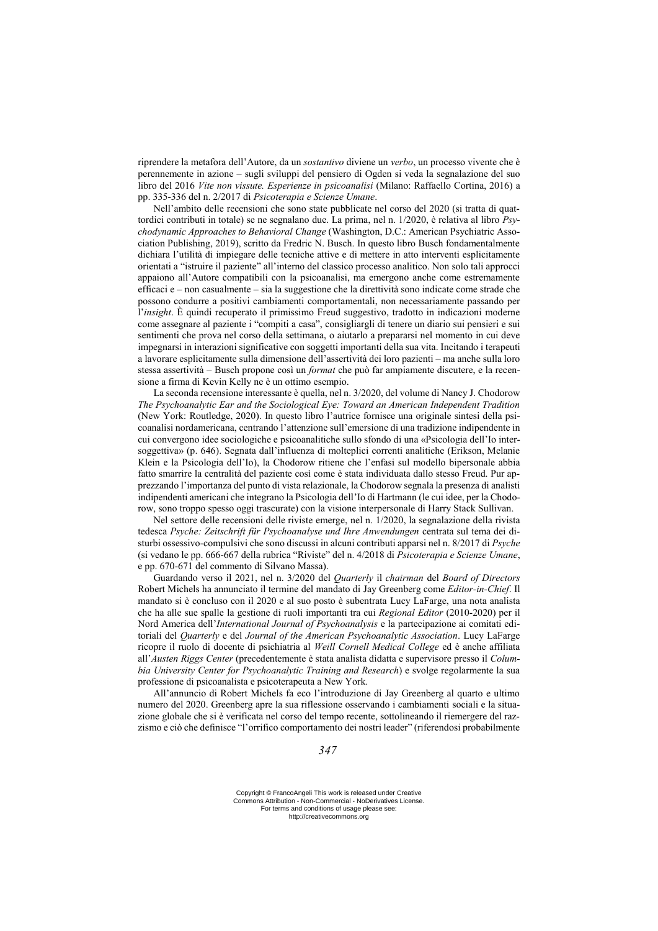riprendere la metafora dell'Autore, da un *sostantivo* diviene un *verbo*, un processo vivente che è perennemente in azione – sugli sviluppi del pensiero di Ogden si veda la segnalazione del suo libro del 2016 *Vite non vissute. Esperienze in psicoanalisi* (Milano: Raffaello Cortina, 2016) a pp. 335-336 del n. 2/2017 di *Psicoterapia e Scienze Umane*.

Nell'ambito delle recensioni che sono state pubblicate nel corso del 2020 (si tratta di quattordici contributi in totale) se ne segnalano due. La prima, nel n. 1/2020, è relativa al libro *Psychodynamic Approaches to Behavioral Change* (Washington, D.C.: American Psychiatric Association Publishing, 2019), scritto da Fredric N. Busch. In questo libro Busch fondamentalmente dichiara l'utilità di impiegare delle tecniche attive e di mettere in atto interventi esplicitamente orientati a "istruire il paziente" all'interno del classico processo analitico. Non solo tali approcci appaiono all'Autore compatibili con la psicoanalisi, ma emergono anche come estremamente efficaci e – non casualmente – sia la suggestione che la direttività sono indicate come strade che possono condurre a positivi cambiamenti comportamentali, non necessariamente passando per l'*insight*. È quindi recuperato il primissimo Freud suggestivo, tradotto in indicazioni moderne come assegnare al paziente i "compiti a casa", consigliargli di tenere un diario sui pensieri e sui sentimenti che prova nel corso della settimana, o aiutarlo a prepararsi nel momento in cui deve impegnarsi in interazioni significative con soggetti importanti della sua vita. Incitando i terapeuti a lavorare esplicitamente sulla dimensione dell'assertività dei loro pazienti – ma anche sulla loro stessa assertività – Busch propone così un *format* che può far ampiamente discutere, e la recensione a firma di Kevin Kelly ne è un ottimo esempio.

La seconda recensione interessante è quella, nel n. 3/2020, del volume di Nancy J. Chodorow *The Psychoanalytic Ear and the Sociological Eye: Toward an American Independent Tradition* (New York: Routledge, 2020). In questo libro l'autrice fornisce una originale sintesi della psicoanalisi nordamericana, centrando l'attenzione sull'emersione di una tradizione indipendente in cui convergono idee sociologiche e psicoanalitiche sullo sfondo di una «Psicologia dell'Io intersoggettiva» (p. 646). Segnata dall'influenza di molteplici correnti analitiche (Erikson, Melanie Klein e la Psicologia dell'Io), la Chodorow ritiene che l'enfasi sul modello bipersonale abbia fatto smarrire la centralità del paziente così come è stata individuata dallo stesso Freud. Pur apprezzando l'importanza del punto di vista relazionale, la Chodorow segnala la presenza di analisti indipendenti americani che integrano la Psicologia dell'Io di Hartmann (le cui idee, per la Chodorow, sono troppo spesso oggi trascurate) con la visione interpersonale di Harry Stack Sullivan.

Nel settore delle recensioni delle riviste emerge, nel n. 1/2020, la segnalazione della rivista tedesca *Psyche: Zeitschrift für Psychoanalyse und Ihre Anwendungen* centrata sul tema dei disturbi ossessivo-compulsivi che sono discussi in alcuni contributi apparsi nel n. 8/2017 di *Psyche*  (si vedano le pp. 666-667 della rubrica "Riviste" del n. 4/2018 di *Psicoterapia e Scienze Umane*, e pp. 670-671 del commento di Silvano Massa).

Guardando verso il 2021, nel n. 3/2020 del *Quarterly* il *chairman* del *Board of Directors* Robert Michels ha annunciato il termine del mandato di Jay Greenberg come *Editor-in-Chief*. Il mandato si è concluso con il 2020 e al suo posto è subentrata Lucy LaFarge, una nota analista che ha alle sue spalle la gestione di ruoli importanti tra cui *Regional Editor* (2010-2020) per il Nord America dell'*International Journal of Psychoanalysis* e la partecipazione ai comitati editoriali del *Quarterly* e del *Journal of the American Psychoanalytic Association*. Lucy LaFarge ricopre il ruolo di docente di psichiatria al *Weill Cornell Medical College* ed è anche affiliata all'*Austen Riggs Center* (precedentemente è stata analista didatta e supervisore presso il *Columbia University Center for Psychoanalytic Training and Research*) e svolge regolarmente la sua professione di psicoanalista e psicoterapeuta a New York.

All'annuncio di Robert Michels fa eco l'introduzione di Jay Greenberg al quarto e ultimo numero del 2020. Greenberg apre la sua riflessione osservando i cambiamenti sociali e la situazione globale che si è verificata nel corso del tempo recente, sottolineando il riemergere del razzismo e ciò che definisce "l'orrifico comportamento dei nostri leader" (riferendosi probabilmente

Copyright © FrancoAngeli This work is released under Creative Commons Attribution - Non-Commercial - NoDerivatives License. For terms and conditions of usage please see: http://creativecommons.org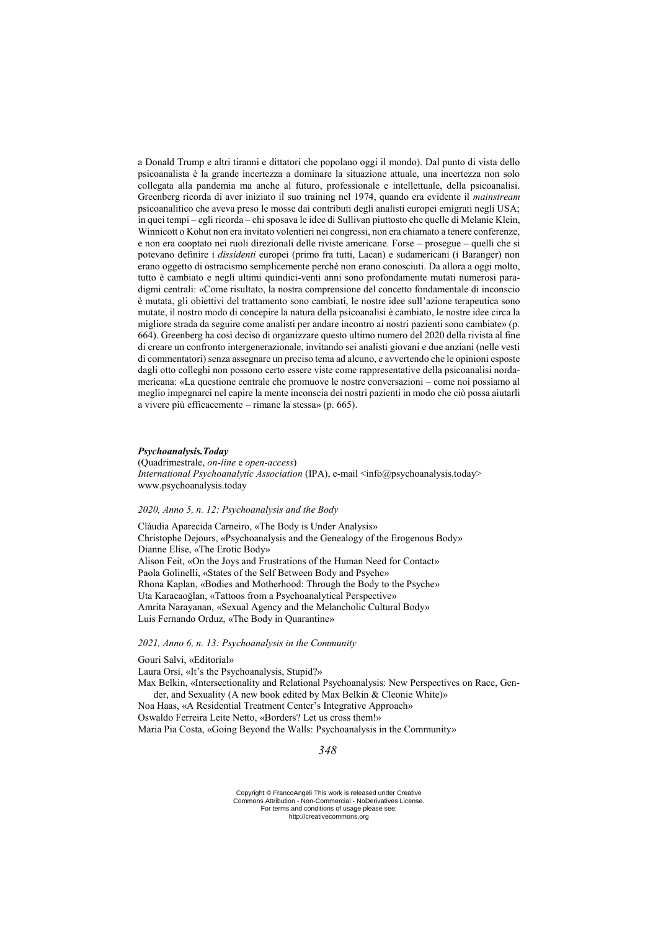a Donald Trump e altri tiranni e dittatori che popolano oggi il mondo). Dal punto di vista dello psicoanalista è la grande incertezza a dominare la situazione attuale, una incertezza non solo collegata alla pandemia ma anche al futuro, professionale e intellettuale, della psicoanalisi. Greenberg ricorda di aver iniziato il suo training nel 1974, quando era evidente il *mainstream* psicoanalitico che aveva preso le mosse dai contributi degli analisti europei emigrati negli USA; in quei tempi – egli ricorda – chi sposava le idee di Sullivan piuttosto che quelle di Melanie Klein, Winnicott o Kohut non era invitato volentieri nei congressi, non era chiamato a tenere conferenze, e non era cooptato nei ruoli direzionali delle riviste americane. Forse – prosegue – quelli che si potevano definire i *dissidenti* europei (primo fra tutti, Lacan) e sudamericani (i Baranger) non erano oggetto di ostracismo semplicemente perché non erano conosciuti. Da allora a oggi molto, tutto è cambiato e negli ultimi quindici-venti anni sono profondamente mutati numerosi paradigmi centrali: «Come risultato, la nostra comprensione del concetto fondamentale di inconscio è mutata, gli obiettivi del trattamento sono cambiati, le nostre idee sull'azione terapeutica sono mutate, il nostro modo di concepire la natura della psicoanalisi è cambiato, le nostre idee circa la migliore strada da seguire come analisti per andare incontro ai nostri pazienti sono cambiate» (p. 664). Greenberg ha così deciso di organizzare questo ultimo numero del 2020 della rivista al fine di creare un confronto intergenerazionale, invitando sei analisti giovani e due anziani (nelle vesti di commentatori) senza assegnare un preciso tema ad alcuno, e avvertendo che le opinioni esposte dagli otto colleghi non possono certo essere viste come rappresentative della psicoanalisi nordamericana: «La questione centrale che promuove le nostre conversazioni – come noi possiamo al meglio impegnarci nel capire la mente inconscia dei nostri pazienti in modo che ciò possa aiutarli a vivere più efficacemente – rimane la stessa» (p. 665).

### *Psychoanalysis.Today*

(Quadrimestrale, *on-line* e *open-access*) *International Psychoanalytic Association* (IPA), e-mail <info@psychoanalysis.today> www.psychoanalysis.today

### *2020, Anno 5, n. 12: Psychoanalysis and the Body*

Cláudia Aparecida Carneiro, «The Body is Under Analysis» Christophe Dejours, «Psychoanalysis and the Genealogy of the Erogenous Body» Dianne Elise, «The Erotic Body» Alison Feit, «On the Joys and Frustrations of the Human Need for Contact» Paola Golinelli, «States of the Self Between Body and Psyche» Rhona Kaplan, «Bodies and Motherhood: Through the Body to the Psyche» Uta Karacaoğlan, «Tattoos from a Psychoanalytical Perspective» Amrita Narayanan, «Sexual Agency and the Melancholic Cultural Body» Luis Fernando Orduz, «The Body in Quarantine»

## *2021, Anno 6, n. 13: Psychoanalysis in the Community*

Gouri Salvi, «Editorial» Laura Orsi, «It's the Psychoanalysis, Stupid?» Max Belkin, «Intersectionality and Relational Psychoanalysis: New Perspectives on Race, Gender, and Sexuality (A new book edited by Max Belkin & Cleonie White)» Noa Haas, «A Residential Treatment Center's Integrative Approach» Oswaldo Ferreira Leite Netto, «Borders? Let us cross them!»

Maria Pia Costa, «Going Beyond the Walls: Psychoanalysis in the Community»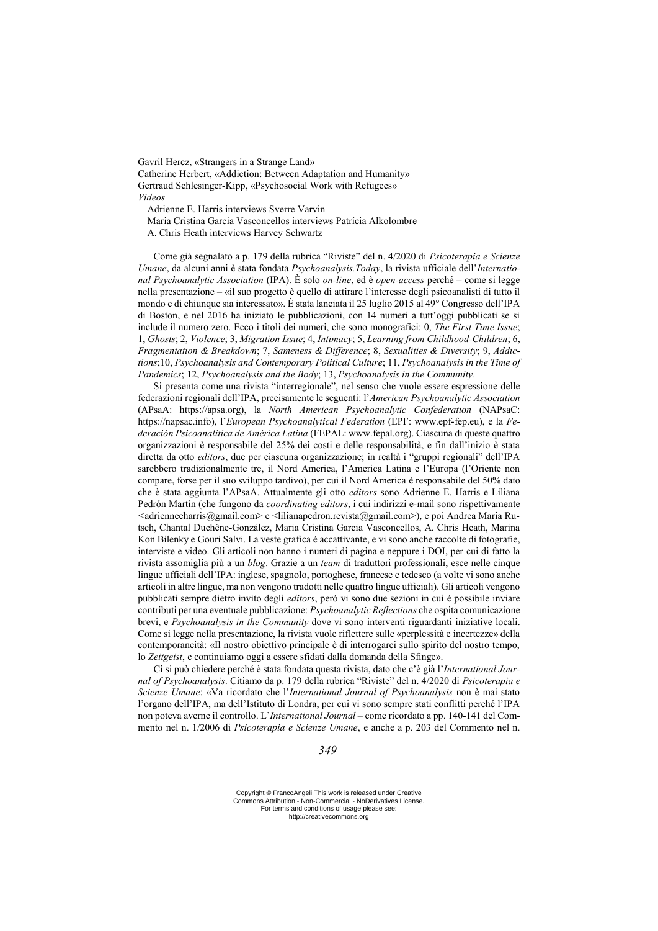Gavril Hercz, «Strangers in a Strange Land» Catherine Herbert, «Addiction: Between Adaptation and Humanity» Gertraud Schlesinger-Kipp, «Psychosocial Work with Refugees» *Videos*

Adrienne E. Harris interviews Sverre Varvin

Maria Cristina Garcia Vasconcellos interviews Patrícia Alkolombre

A. Chris Heath interviews Harvey Schwartz

Come già segnalato a p. 179 della rubrica "Riviste" del n. 4/2020 di *Psicoterapia e Scienze Umane*, da alcuni anni è stata fondata *Psychoanalysis.Today*, la rivista ufficiale dell'*International Psychoanalytic Association* (IPA). È solo *on-line*, ed è *open-access* perché – come si legge nella presentazione – «il suo progetto è quello di attirare l'interesse degli psicoanalisti di tutto il mondo e di chiunque sia interessato». È stata lanciata il 25 luglio 2015 al 49° Congresso dell'IPA di Boston, e nel 2016 ha iniziato le pubblicazioni, con 14 numeri a tutt'oggi pubblicati se si include il numero zero. Ecco i titoli dei numeri, che sono monografici: 0, *The First Time Issue*; 1, *Ghosts*; 2, *Violence*; 3, *Migration Issue*; 4, *Intimacy*; 5, *Learning from Childhood-Children*; 6, *Fragmentation & Breakdown*; 7, *Sameness & Difference*; 8, *Sexualities & Diversity*; 9, *Addictions*;10, *Psychoanalysis and Contemporary Political Culture*; 11, *Psychoanalysis in the Time of Pandemics*; 12, *Psychoanalysis and the Body*; 13, *Psychoanalysis in the Community*.

Si presenta come una rivista "interregionale", nel senso che vuole essere espressione delle federazioni regionali dell'IPA, precisamente le seguenti: l'*American Psychoanalytic Association* (APsaA: https://apsa.org), la *North American Psychoanalytic Confederation* (NAPsaC: https://napsac.info), l'*European Psychoanalytical Federation* (EPF: www.epf-fep.eu), e la *Federación Psicoanalítica de América Latina* (FEPAL: www.fepal.org). Ciascuna di queste quattro organizzazioni è responsabile del 25% dei costi e delle responsabilità, e fin dall'inizio è stata diretta da otto *editors*, due per ciascuna organizzazione; in realtà i "gruppi regionali" dell'IPA sarebbero tradizionalmente tre, il Nord America, l'America Latina e l'Europa (l'Oriente non compare, forse per il suo sviluppo tardivo), per cui il Nord America è responsabile del 50% dato che è stata aggiunta l'APsaA. Attualmente gli otto *editors* sono Adrienne E. Harris e Liliana Pedrón Martín (che fungono da *coordinating editors*, i cui indirizzi e-mail sono rispettivamente *<*adrienneeharris@gmail.com> e <lilianapedron.revista@gmail.com>), e poi Andrea Maria Rutsch, Chantal Duchêne-González, Maria Cristina Garcia Vasconcellos, A. Chris Heath, Marina Kon Bilenky e Gouri Salvi. La veste grafica è accattivante, e vi sono anche raccolte di fotografie, interviste e video. Gli articoli non hanno i numeri di pagina e neppure i DOI, per cui di fatto la rivista assomiglia più a un *blog*. Grazie a un *team* di traduttori professionali, esce nelle cinque lingue ufficiali dell'IPA: inglese, spagnolo, portoghese, francese e tedesco (a volte vi sono anche articoli in altre lingue, ma non vengono tradotti nelle quattro lingue ufficiali). Gli articoli vengono pubblicati sempre dietro invito degli *editors*, però vi sono due sezioni in cui è possibile inviare contributi per una eventuale pubblicazione: *Psychoanalytic Reflections* che ospita comunicazione brevi, e *Psychoanalysis in the Community* dove vi sono interventi riguardanti iniziative locali. Come si legge nella presentazione, la rivista vuole riflettere sulle «perplessità e incertezze» della contemporaneità: «Il nostro obiettivo principale è di interrogarci sullo spirito del nostro tempo, lo *Zeitgeist*, e continuiamo oggi a essere sfidati dalla domanda della Sfinge».

Ci si può chiedere perché è stata fondata questa rivista, dato che c'è già l'*International Journal of Psychoanalysis*. Citiamo da p. 179 della rubrica "Riviste" del n. 4/2020 di *Psicoterapia e Scienze Umane*: «Va ricordato che l'*International Journal of Psychoanalysis* non è mai stato l'organo dell'IPA, ma dell'Istituto di Londra, per cui vi sono sempre stati conflitti perché l'IPA non poteva averne il controllo. L'*International Journal* – come ricordato a pp. 140-141 del Commento nel n. 1/2006 di *Psicoterapia e Scienze Umane*, e anche a p. 203 del Commento nel n.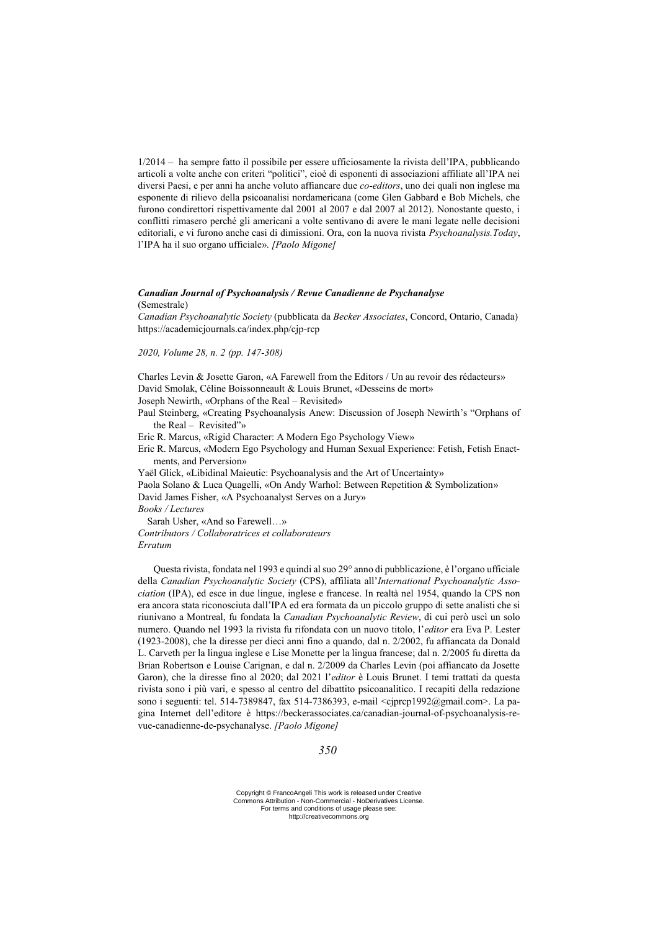1/2014 – ha sempre fatto il possibile per essere ufficiosamente la rivista dell'IPA, pubblicando articoli a volte anche con criteri "politici", cioè di esponenti di associazioni affiliate all'IPA nei diversi Paesi, e per anni ha anche voluto affiancare due *co-editors*, uno dei quali non inglese ma esponente di rilievo della psicoanalisi nordamericana (come Glen Gabbard e Bob Michels, che furono condirettori rispettivamente dal 2001 al 2007 e dal 2007 al 2012). Nonostante questo, i conflitti rimasero perché gli americani a volte sentivano di avere le mani legate nelle decisioni editoriali, e vi furono anche casi di dimissioni. Ora, con la nuova rivista *Psychoanalysis.Today*, l'IPA ha il suo organo ufficiale». *[Paolo Migone]*

## *Canadian Journal of Psychoanalysis / Revue Canadienne de Psychanalyse*

(Semestrale)

*Canadian Psychoanalytic Society* (pubblicata da *Becker Associates*, Concord, Ontario, Canada) https://academicjournals.ca/index.php/cjp-rcp

*2020, Volume 28, n. 2 (pp. 147-308)*

Charles Levin & Josette Garon, «A Farewell from the Editors / Un au revoir des rédacteurs» David Smolak, Céline Boissonneault & Louis Brunet, «Desseins de mort» Joseph Newirth, «Orphans of the Real – Revisited»

Paul Steinberg, «Creating Psychoanalysis Anew: Discussion of Joseph Newirth's "Orphans of the Real – Revisited"»

Eric R. Marcus, «Rigid Character: A Modern Ego Psychology View»

Eric R. Marcus, «Modern Ego Psychology and Human Sexual Experience: Fetish, Fetish Enactments, and Perversion»

Yaël Glick, «Libidinal Maieutic: Psychoanalysis and the Art of Uncertainty»

Paola Solano & Luca Quagelli, «On Andy Warhol: Between Repetition & Symbolization» David James Fisher, «A Psychoanalyst Serves on a Jury»

*Books / Lectures*

Sarah Usher, «And so Farewell…»

*Contributors / Collaboratrices et collaborateurs Erratum*

Questa rivista, fondata nel 1993 e quindi al suo 29° anno di pubblicazione, è l'organo ufficiale della *Canadian Psychoanalytic Society* (CPS), affiliata all'*International Psychoanalytic Association* (IPA), ed esce in due lingue, inglese e francese. In realtà nel 1954, quando la CPS non era ancora stata riconosciuta dall'IPA ed era formata da un piccolo gruppo di sette analisti che si riunivano a Montreal, fu fondata la *Canadian Psychoanalytic Review*, di cui però uscì un solo numero. Quando nel 1993 la rivista fu rifondata con un nuovo titolo, l'*editor* era Eva P. Lester (1923-2008), che la diresse per dieci anni fino a quando, dal n. 2/2002, fu affiancata da Donald L. Carveth per la lingua inglese e Lise Monette per la lingua francese; dal n. 2/2005 fu diretta da Brian Robertson e Louise Carignan, e dal n. 2/2009 da Charles Levin (poi affiancato da Josette Garon), che la diresse fino al 2020; dal 2021 l'*editor* è Louis Brunet. I temi trattati da questa rivista sono i più vari, e spesso al centro del dibattito psicoanalitico. I recapiti della redazione sono i seguenti: tel. 514-7389847, fax 514-7386393, e-mail <cjprcp1992@gmail.com>. La pagina Internet dell'editore è https://beckerassociates.ca/canadian-journal-of-psychoanalysis-revue-canadienne-de-psychanalyse. *[Paolo Migone]*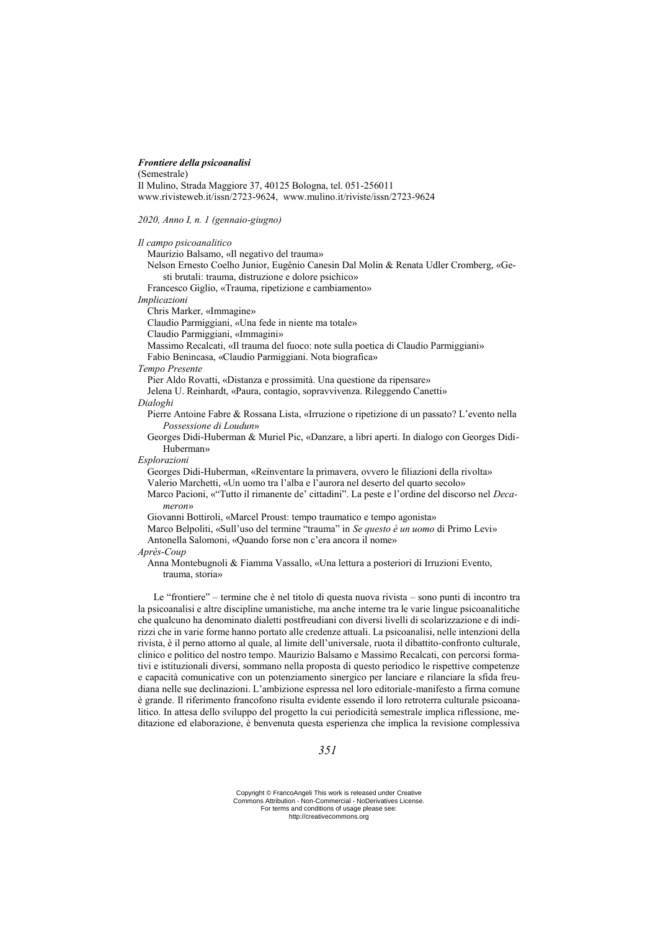### *Frontiere della psicoanalisi*

(Semestrale) Il Mulino, Strada Maggiore 37, 40125 Bologna, tel. 051-256011 www.rivisteweb.it/issn/2723-9624, www.mulino.it/riviste/issn/2723-9624

*2020, Anno I, n. 1 (gennaio-giugno)*

*Il campo psicoanalitico* Maurizio Balsamo, «Il negativo del trauma» Nelson Ernesto Coelho Junior, Eugênio Canesin Dal Molin & Renata Udler Cromberg, «Gesti brutali: trauma, distruzione e dolore psichico» Francesco Giglio, «Trauma, ripetizione e cambiamento» *Implicazioni* Chris Marker, «Immagine» Claudio Parmiggiani, «Una fede in niente ma totale» Claudio Parmiggiani, «Immagini» Massimo Recalcati, «Il trauma del fuoco: note sulla poetica di Claudio Parmiggiani» Fabio Benincasa, «Claudio Parmiggiani. Nota biografica» *Tempo Presente* Pier Aldo Rovatti, «Distanza e prossimità. Una questione da ripensare» Jelena U. Reinhardt, «Paura, contagio, sopravvivenza. Rileggendo Canetti» *Dialoghi* Pierre Antoine Fabre & Rossana Lista, «Irruzione o ripetizione di un passato? L'evento nella *Possessione di Loudun*» Georges Didi-Huberman & Muriel Pic, «Danzare, a libri aperti. In dialogo con Georges Didi-Huberman» *Esplorazioni* Georges Didi-Huberman, «Reinventare la primavera, ovvero le filiazioni della rivolta» Valerio Marchetti, «Un uomo tra l'alba e l'aurora nel deserto del quarto secolo» Marco Pacioni, «"Tutto il rimanente de' cittadini". La peste e l'ordine del discorso nel *Decameron*» Giovanni Bottiroli, «Marcel Proust: tempo traumatico e tempo agonista» Marco Belpoliti, «Sull'uso del termine "trauma" in *Se questo è un uomo* di Primo Levi» Antonella Salomoni, «Quando forse non c'era ancora il nome» *Après-Coup* Anna Montebugnoli & Fiamma Vassallo, «Una lettura a posteriori di Irruzioni Evento, trauma, storia» Le "frontiere" – termine che è nel titolo di questa nuova rivista – sono punti di incontro tra

la psicoanalisi e altre discipline umanistiche, ma anche interne tra le varie lingue psicoanalitiche che qualcuno ha denominato dialetti postfreudiani con diversi livelli di scolarizzazione e di indirizzi che in varie forme hanno portato alle credenze attuali. La psicoanalisi, nelle intenzioni della rivista, è il perno attorno al quale, al limite dell'universale, ruota il dibattito-confronto culturale, clinico e politico del nostro tempo. Maurizio Balsamo e Massimo Recalcati, con percorsi formativi e istituzionali diversi, sommano nella proposta di questo periodico le rispettive competenze e capacità comunicative con un potenziamento sinergico per lanciare e rilanciare la sfida freudiana nelle sue declinazioni. L'ambizione espressa nel loro editoriale-manifesto a firma comune è grande. Il riferimento francofono risulta evidente essendo il loro retroterra culturale psicoanalitico. In attesa dello sviluppo del progetto la cui periodicità semestrale implica riflessione, meditazione ed elaborazione, è benvenuta questa esperienza che implica la revisione complessiva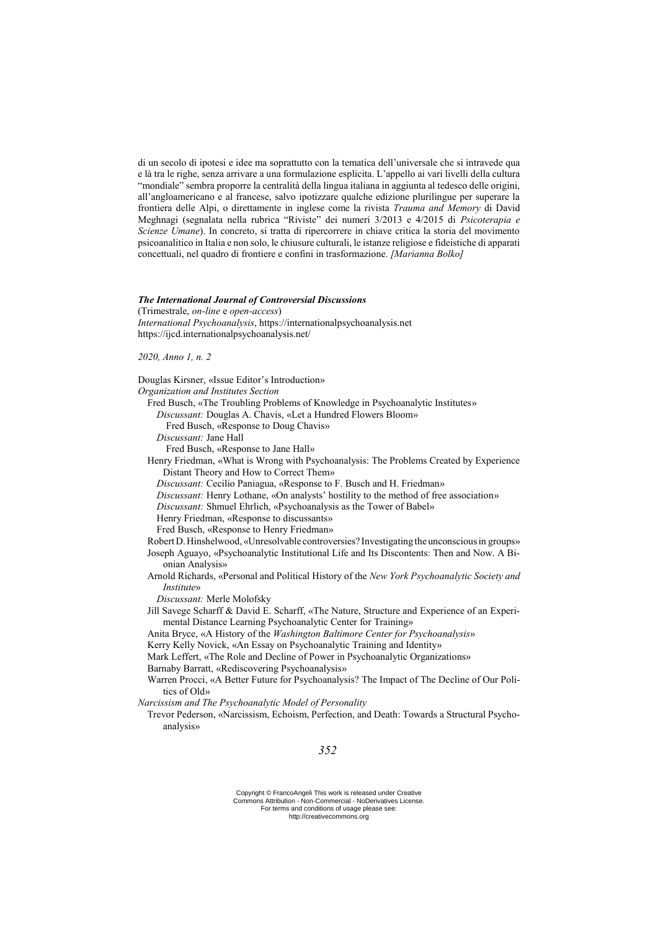di un secolo di ipotesi e idee ma soprattutto con la tematica dell'universale che si intravede qua e là tra le righe, senza arrivare a una formulazione esplicita. L'appello ai vari livelli della cultura "mondiale" sembra proporre la centralità della lingua italiana in aggiunta al tedesco delle origini, all'angloamericano e al francese, salvo ipotizzare qualche edizione plurilingue per superare la frontiera delle Alpi, o direttamente in inglese come la rivista *Trauma and Memory* di David Meghnagi (segnalata nella rubrica "Riviste" dei numeri 3/2013 e 4/2015 di *Psicoterapia e Scienze Umane*). In concreto, si tratta di ripercorrere in chiave critica la storia del movimento psicoanalitico in Italia e non solo, le chiusure culturali, le istanze religiose e fideistiche di apparati concettuali, nel quadro di frontiere e confini in trasformazione. *[Marianna Bolko]*

### *The International Journal of Controversial Discussions*

(Trimestrale, *on-line* e *open-access*) *International Psychoanalysis*, https://internationalpsychoanalysis.net https://ijcd.internationalpsychoanalysis.net/

### *2020, Anno 1, n. 2*

Douglas Kirsner, «Issue Editor's Introduction»

*Organization and Institutes Section*

Fred Busch, «The Troubling Problems of Knowledge in Psychoanalytic Institutes» *Discussant:* Douglas A. Chavis, «Let a Hundred Flowers Bloom»

Fred Busch, «Response to Doug Chavis»

*Discussant:* Jane Hall

Fred Busch, «Response to Jane Hall»

Henry Friedman, «What is Wrong with Psychoanalysis: The Problems Created by Experience Distant Theory and How to Correct Them»

*Discussant:* Cecilio Paniagua, «Response to F. Busch and H. Friedman»

*Discussant:* Henry Lothane, «On analysts' hostility to the method of free association»

*Discussant:* Shmuel Ehrlich, «Psychoanalysis as the Tower of Babel»

Henry Friedman, «Response to discussants»

Fred Busch, «Response to Henry Friedman»

RobertD.Hinshelwood, «Unresolvable controversies? Investigating the unconsciousin groups»

Joseph Aguayo, «Psychoanalytic Institutional Life and Its Discontents: Then and Now. A Bionian Analysis»

Arnold Richards, «Personal and Political History of the *New York Psychoanalytic Society and Institute*»

*Discussant:* Merle Molofsky

Jill Savege Scharff & David E. Scharff, «The Nature, Structure and Experience of an Experimental Distance Learning Psychoanalytic Center for Training»

Anita Bryce, «A History of the *Washington Baltimore Center for Psychoanalysis*»

Kerry Kelly Novick, «An Essay on Psychoanalytic Training and Identity»

Mark Leffert, «The Role and Decline of Power in Psychoanalytic Organizations»

Barnaby Barratt, «Rediscovering Psychoanalysis»

Warren Procci, «A Better Future for Psychoanalysis? The Impact of The Decline of Our Politics of Old»

*Narcissism and The Psychoanalytic Model of Personality*

Trevor Pederson, «Narcissism, Echoism, Perfection, and Death: Towards a Structural Psychoanalysis»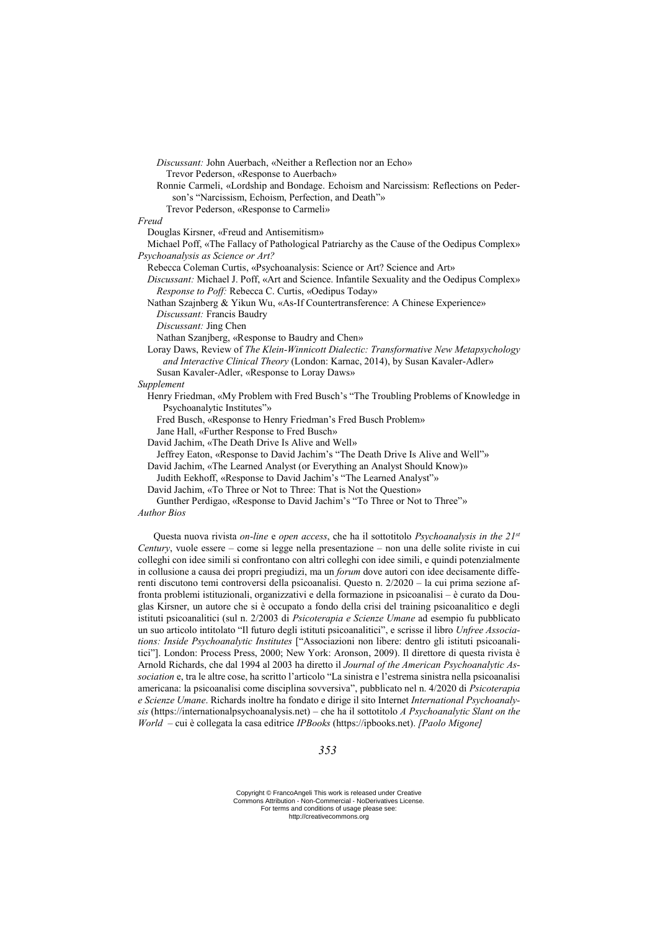*Discussant:* John Auerbach, «Neither a Reflection nor an Echo» Trevor Pederson, «Response to Auerbach» Ronnie Carmeli, «Lordship and Bondage. Echoism and Narcissism: Reflections on Pederson's "Narcissism, Echoism, Perfection, and Death"» Trevor Pederson, «Response to Carmeli» *Freud* Douglas Kirsner, «Freud and Antisemitism» Michael Poff, «The Fallacy of Pathological Patriarchy as the Cause of the Oedipus Complex» *Psychoanalysis as Science or Art?* Rebecca Coleman Curtis, «Psychoanalysis: Science or Art? Science and Art» *Discussant:* Michael J. Poff, «Art and Science. Infantile Sexuality and the Oedipus Complex» *Response to Poff:* Rebecca C. Curtis, «Oedipus Today» Nathan Szajnberg & Yikun Wu, «As-If Countertransference: A Chinese Experience» *Discussant:* Francis Baudry *Discussant:* Jing Chen Nathan Szanjberg, «Response to Baudry and Chen» Loray Daws, Review of *The Klein-Winnicott Dialectic: Transformative New Metapsychology and Interactive Clinical Theory* (London: Karnac, 2014), by Susan Kavaler-Adler» Susan Kavaler-Adler, «Response to Loray Daws» *Supplement*  Henry Friedman, «My Problem with Fred Busch's "The Troubling Problems of Knowledge in Psychoanalytic Institutes"» Fred Busch, «Response to Henry Friedman's Fred Busch Problem» Jane Hall, «Further Response to Fred Busch» David Jachim, «The Death Drive Is Alive and Well» Jeffrey Eaton, «Response to David Jachim's "The Death Drive Is Alive and Well"» David Jachim, «The Learned Analyst (or Everything an Analyst Should Know)» Judith Eekhoff, «Response to David Jachim's "The Learned Analyst"» David Jachim, «To Three or Not to Three: That is Not the Question»

Gunther Perdigao, «Response to David Jachim's "To Three or Not to Three"» *Author Bios*

Questa nuova rivista *on-line* e *open access*, che ha il sottotitolo *Psychoanalysis in the 21st Century*, vuole essere – come si legge nella presentazione – non una delle solite riviste in cui colleghi con idee simili si confrontano con altri colleghi con idee simili, e quindi potenzialmente in collusione a causa dei propri pregiudizi, ma un *forum* dove autori con idee decisamente differenti discutono temi controversi della psicoanalisi. Questo n. 2/2020 – la cui prima sezione affronta problemi istituzionali, organizzativi e della formazione in psicoanalisi – è curato da Douglas Kirsner, un autore che si è occupato a fondo della crisi del training psicoanalitico e degli istituti psicoanalitici (sul n. 2/2003 di *Psicoterapia e Scienze Umane* ad esempio fu pubblicato un suo articolo intitolato "Il futuro degli istituti psicoanalitici", e scrisse il libro *Unfree Associations: Inside Psychoanalytic Institutes* ["Associazioni non libere: dentro gli istituti psicoanalitici"]. London: Process Press, 2000; New York: Aronson, 2009). Il direttore di questa rivista è Arnold Richards, che dal 1994 al 2003 ha diretto il *Journal of the American Psychoanalytic Association* e, tra le altre cose, ha scritto l'articolo "La sinistra e l'estrema sinistra nella psicoanalisi americana: la psicoanalisi come disciplina sovversiva", pubblicato nel n. 4/2020 di *Psicoterapia e Scienze Umane*. Richards inoltre ha fondato e dirige il sito Internet *International Psychoanalysis* (https://internationalpsychoanalysis.net) – che ha il sottotitolo *A Psychoanalytic Slant on the World* – cui è collegata la casa editrice *IPBooks* (https://ipbooks.net). *[Paolo Migone]*